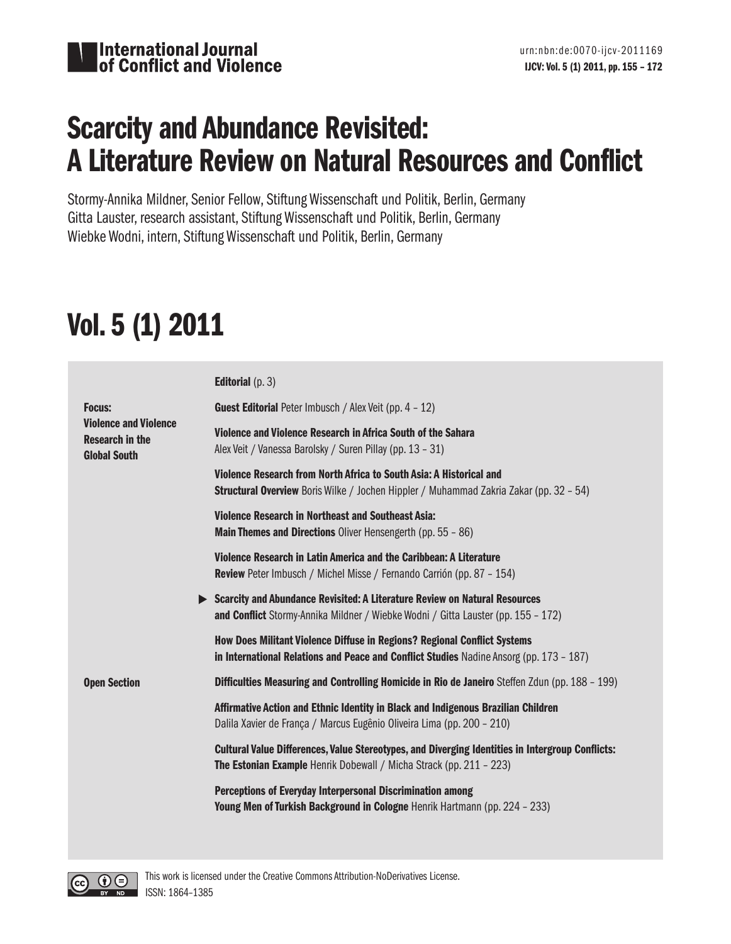

## Scarcity and Abundance Revisited: A Literature Review on Natural Resources and Conflict

Stormy-Annika Mildner, Senior Fellow, Stiftung Wissenschaft und Politik, Berlin, Germany Gitta Lauster, research assistant, Stiftung Wissenschaft und Politik, Berlin, Germany Wiebke Wodni, intern, Stiftung Wissenschaft und Politik, Berlin, Germany

# Vol. 5 (1) 2011

|                                                                                                | <b>Editorial</b> $(p. 3)$                                                                                                                                                         |
|------------------------------------------------------------------------------------------------|-----------------------------------------------------------------------------------------------------------------------------------------------------------------------------------|
| <b>Focus:</b><br><b>Violence and Violence</b><br><b>Research in the</b><br><b>Global South</b> | Guest Editorial Peter Imbusch / Alex Veit (pp. 4 - 12)                                                                                                                            |
|                                                                                                | Violence and Violence Research in Africa South of the Sahara<br>Alex Veit / Vanessa Barolsky / Suren Pillay (pp. 13 - 31)                                                         |
|                                                                                                | Violence Research from North Africa to South Asia: A Historical and<br><b>Structural Overview</b> Boris Wilke / Jochen Hippler / Muhammad Zakria Zakar (pp. 32 - 54)              |
|                                                                                                | <b>Violence Research in Northeast and Southeast Asia:</b><br><b>Main Themes and Directions</b> Oliver Hensengerth (pp. 55 - 86)                                                   |
|                                                                                                | Violence Research in Latin America and the Caribbean: A Literature<br><b>Review</b> Peter Imbusch / Michel Misse / Fernando Carrión (pp. 87 - 154)                                |
|                                                                                                | Scarcity and Abundance Revisited: A Literature Review on Natural Resources<br>and Conflict Stormy-Annika Mildner / Wiebke Wodni / Gitta Lauster (pp. 155 - 172)                   |
|                                                                                                | <b>How Does Militant Violence Diffuse in Regions? Regional Conflict Systems</b><br>in International Relations and Peace and Conflict Studies Nadine Ansorg (pp. $173 - 187$ )     |
| <b>Open Section</b>                                                                            | <b>Difficulties Measuring and Controlling Homicide in Rio de Janeiro</b> Steffen Zdun (pp. 188 - 199)                                                                             |
|                                                                                                | Affirmative Action and Ethnic Identity in Black and Indigenous Brazilian Children<br>Dalila Xavier de França / Marcus Eugênio Oliveira Lima (pp. 200 - 210)                       |
|                                                                                                | Cultural Value Differences, Value Stereotypes, and Diverging Identities in Intergroup Conflicts:<br><b>The Estonian Example</b> Henrik Dobewall / Micha Strack (pp. $211 - 223$ ) |
|                                                                                                | Perceptions of Everyday Interpersonal Discrimination among<br>Young Men of Turkish Background in Cologne Henrik Hartmann (pp. 224 - 233)                                          |

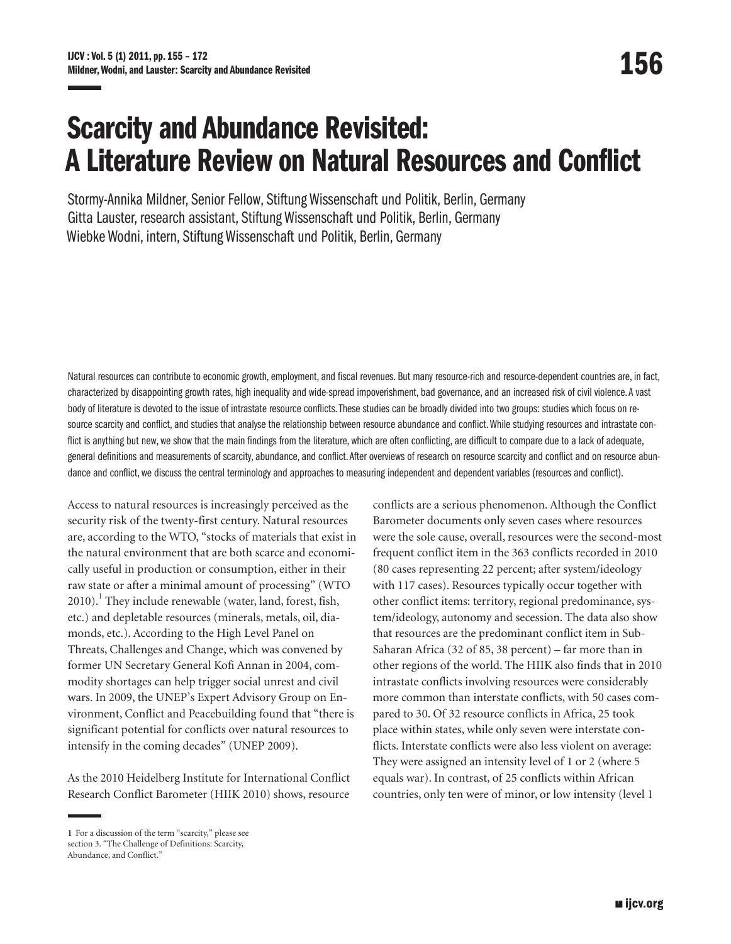## Scarcity and Abundance Revisited: A Literature Review on Natural Resources and Conflict

Stormy-Annika Mildner, Senior Fellow, Stiftung Wissenschaft und Politik, Berlin, Germany Gitta Lauster, research assistant, Stiftung Wissenschaft und Politik, Berlin, Germany Wiebke Wodni, intern, Stiftung Wissenschaft und Politik, Berlin, Germany

Natural resources can contribute to economic growth, employment, and fiscal revenues. But many resource-rich and resource-dependent countries are, in fact, characterized by disappointing growth rates, high inequality and wide-spread impoverishment, bad governance, and an increased risk of civil violence. A vast body of literature is devoted to the issue of intrastate resource conflicts. These studies can be broadly divided into two groups: studies which focus on resource scarcity and conflict, and studies that analyse the relationship between resource abundance and conflict. While studying resources and intrastate conflict is anything but new, we show that the main findings from the literature, which are often conflicting, are difficult to compare due to a lack of adequate, general definitions and measurements of scarcity, abundance, and conflict. After overviews of research on resource scarcity and conflict and on resource abundance and conflict, we discuss the central terminology and approaches to measuring independent and dependent variables (resources and conflict).

<span id="page-1-1"></span>Access to natural resources is increasingly perceived as the security risk of the twenty-first century. Natural resources are, according to the WTO, "stocks of materials that exist in the natural environment that are both scarce and economically useful in production or consumption, either in their raw state or after a minimal amount of processing" (WTO 20[1](#page-1-0)0).<sup>1</sup> They include renewable (water, land, forest, fish, etc.) and depletable resources (minerals, metals, oil, diamonds, etc.). According to the High Level Panel on Threats, Challenges and Change, which was convened by former UN Secretary General Kofi Annan in 2004, commodity shortages can help trigger social unrest and civil wars. In 2009, the UNEP's Expert Advisory Group on Environment, Conflict and Peacebuilding found that "there is significant potential for conflicts over natural resources to intensify in the coming decades" (UNEP 2009).

As the 2010 Heidelberg Institute for International Conflict Research Conflict Barometer (HIIK 2010) shows, resource

conflicts are a serious phenomenon. Although the Conflict Barometer documents only seven cases where resources were the sole cause, overall, resources were the second-most frequent conflict item in the 363 conflicts recorded in 2010 (80 cases representing 22 percent; after system/ideology with 117 cases). Resources typically occur together with other conflict items: territory, regional predominance, system/ideology, autonomy and secession. The data also show that resources are the predominant conflict item in Sub-Saharan Africa (32 of 85, 38 percent) – far more than in other regions of the world. The HIIK also finds that in 2010 intrastate conflicts involving resources were considerably more common than interstate conflicts, with 50 cases compared to 30. Of 32 resource conflicts in Africa, 25 took place within states, while only seven were interstate conflicts. Interstate conflicts were also less violent on average: They were assigned an intensity level of 1 or 2 (where 5 equals war). In contrast, of 25 conflicts within African countries, only ten were of minor, or low intensity (level 1

<span id="page-1-0"></span>**[<sup>1</sup>](#page-1-1)** For a discussion of the term "scarcity," please see section 3. "The Challenge of Definitions: Scarcity, Abundance, and Conflict."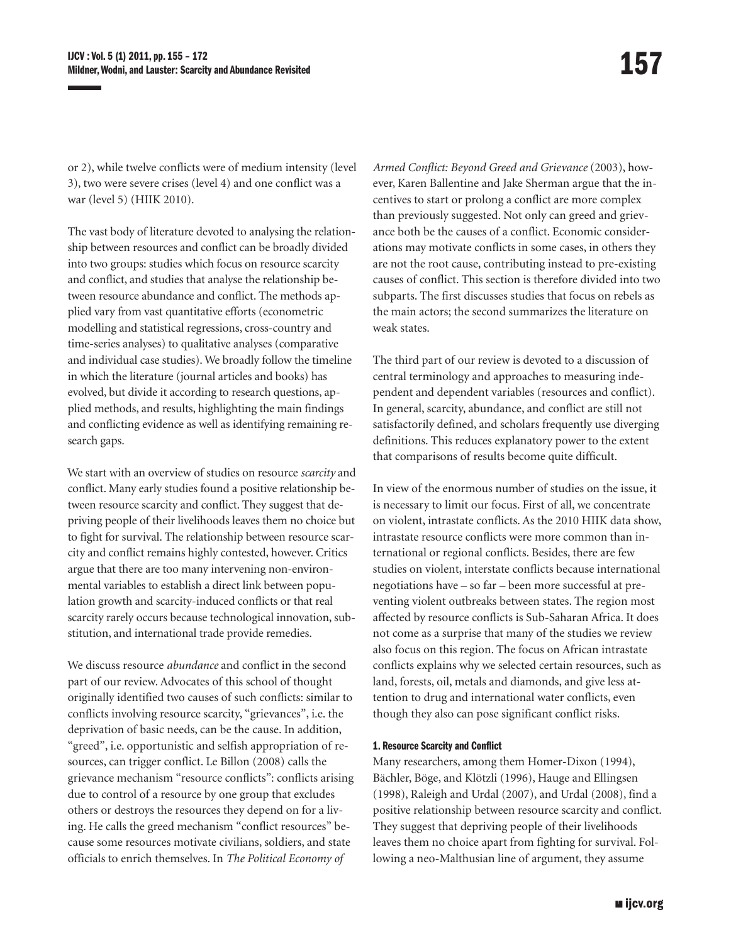or 2), while twelve conflicts were of medium intensity (level 3), two were severe crises (level 4) and one conflict was a war (level 5) (HIIK 2010).

The vast body of literature devoted to analysing the relationship between resources and conflict can be broadly divided into two groups: studies which focus on resource scarcity and conflict, and studies that analyse the relationship between resource abundance and conflict. The methods applied vary from vast quantitative efforts (econometric modelling and statistical regressions, cross-country and time-series analyses) to qualitative analyses (comparative and individual case studies). We broadly follow the timeline in which the literature (journal articles and books) has evolved, but divide it according to research questions, applied methods, and results, highlighting the main findings and conflicting evidence as well as identifying remaining research gaps.

We start with an overview of studies on resource *scarcity* and conflict. Many early studies found a positive relationship between resource scarcity and conflict. They suggest that depriving people of their livelihoods leaves them no choice but to fight for survival. The relationship between resource scarcity and conflict remains highly contested, however. Critics argue that there are too many intervening non-environmental variables to establish a direct link between population growth and scarcity-induced conflicts or that real scarcity rarely occurs because technological innovation, substitution, and international trade provide remedies.

We discuss resource *abundance* and conflict in the second part of our review. Advocates of this school of thought originally identified two causes of such conflicts: similar to conflicts involving resource scarcity, "grievances", i.e. the deprivation of basic needs, can be the cause. In addition, "greed", i.e. opportunistic and selfish appropriation of resources, can trigger conflict. Le Billon (2008) calls the grievance mechanism "resource conflicts": conflicts arising due to control of a resource by one group that excludes others or destroys the resources they depend on for a living. He calls the greed mechanism "conflict resources" because some resources motivate civilians, soldiers, and state officials to enrich themselves. In *The Political Economy of* 

*Armed Conflict: Beyond Greed and Grievance* (2003), however, Karen Ballentine and Jake Sherman argue that the incentives to start or prolong a conflict are more complex than previously suggested. Not only can greed and grievance both be the causes of a conflict. Economic considerations may motivate conflicts in some cases, in others they are not the root cause, contributing instead to pre-existing causes of conflict. This section is therefore divided into two subparts. The first discusses studies that focus on rebels as the main actors; the second summarizes the literature on weak states.

The third part of our review is devoted to a discussion of central terminology and approaches to measuring independent and dependent variables (resources and conflict). In general, scarcity, abundance, and conflict are still not satisfactorily defined, and scholars frequently use diverging definitions. This reduces explanatory power to the extent that comparisons of results become quite difficult.

In view of the enormous number of studies on the issue, it is necessary to limit our focus. First of all, we concentrate on violent, intrastate conflicts. As the 2010 HIIK data show, intrastate resource conflicts were more common than international or regional conflicts. Besides, there are few studies on violent, interstate conflicts because international negotiations have – so far – been more successful at preventing violent outbreaks between states. The region most affected by resource conflicts is Sub-Saharan Africa. It does not come as a surprise that many of the studies we review also focus on this region. The focus on African intrastate conflicts explains why we selected certain resources, such as land, forests, oil, metals and diamonds, and give less attention to drug and international water conflicts, even though they also can pose significant conflict risks.

## 1. Resource Scarcity and Conflict

Many researchers, among them Homer-Dixon (1994), Bächler, Böge, and Klötzli (1996), Hauge and Ellingsen (1998), Raleigh and Urdal (2007), and Urdal (2008), find a positive relationship between resource scarcity and conflict. They suggest that depriving people of their livelihoods leaves them no choice apart from fighting for survival. Following a neo-Malthusian line of argument, they assume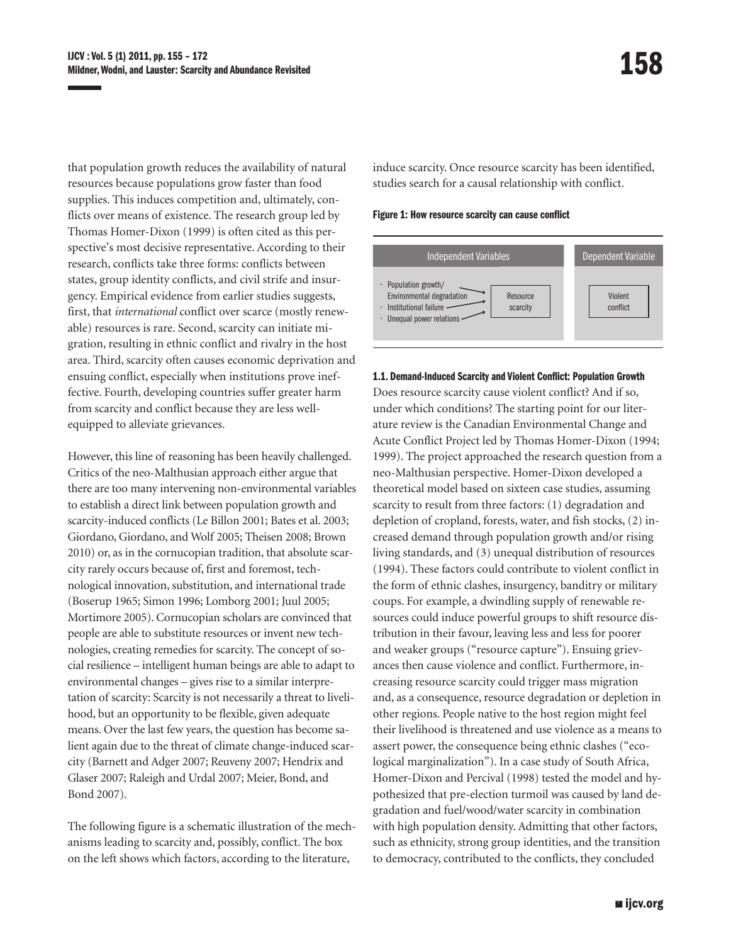that population growth reduces the availability of natural resources because populations grow faster than food supplies. This induces competition and, ultimately, conflicts over means of existence. The research group led by Thomas Homer-Dixon (1999) is often cited as this perspective's most decisive representative. According to their research, conflicts take three forms: conflicts between states, group identity conflicts, and civil strife and insurgency. Empirical evidence from earlier studies suggests, first, that *international* conflict over scarce (mostly renewable) resources is rare. Second, scarcity can initiate migration, resulting in ethnic conflict and rivalry in the host area. Third, scarcity often causes economic deprivation and ensuing conflict, especially when institutions prove ineffective. Fourth, developing countries suffer greater harm from scarcity and conflict because they are less wellequipped to alleviate grievances.

However, this line of reasoning has been heavily challenged. Critics of the neo-Malthusian approach either argue that there are too many intervening non-environmental variables to establish a direct link between population growth and scarcity-induced conflicts (Le Billon 2001; Bates et al. 2003; Giordano, Giordano, and Wolf 2005; Theisen 2008; Brown 2010) or, as in the cornucopian tradition, that absolute scarcity rarely occurs because of, first and foremost, technological innovation, substitution, and international trade (Boserup 1965; Simon 1996; Lomborg 2001; Juul 2005; Mortimore 2005). Cornucopian scholars are convinced that people are able to substitute resources or invent new technologies, creating remedies for scarcity. The concept of social resilience – intelligent human beings are able to adapt to environmental changes – gives rise to a similar interpretation of scarcity: Scarcity is not necessarily a threat to livelihood, but an opportunity to be flexible, given adequate means. Over the last few years, the question has become salient again due to the threat of climate change-induced scarcity (Barnett and Adger 2007; Reuveny 2007; Hendrix and Glaser 2007; Raleigh and Urdal 2007; Meier, Bond, and Bond 2007).

The following figure is a schematic illustration of the mechanisms leading to scarcity and, possibly, conflict. The box on the left shows which factors, according to the literature,

induce scarcity. Once resource scarcity has been identified, studies search for a causal relationship with conflict.

Figure 1: How resource scarcity can cause conflict



#### 1.1. Demand-Induced Scarcity and Violent Conflict: Population Growth

Does resource scarcity cause violent conflict? And if so, under which conditions? The starting point for our literature review is the Canadian Environmental Change and Acute Conflict Project led by Thomas Homer-Dixon (1994; 1999). The project approached the research question from a neo-Malthusian perspective. Homer-Dixon developed a theoretical model based on sixteen case studies, assuming scarcity to result from three factors: (1) degradation and depletion of cropland, forests, water, and fish stocks, (2) increased demand through population growth and/or rising living standards, and (3) unequal distribution of resources (1994). These factors could contribute to violent conflict in the form of ethnic clashes, insurgency, banditry or military coups. For example, a dwindling supply of renewable resources could induce powerful groups to shift resource distribution in their favour, leaving less and less for poorer and weaker groups ("resource capture"). Ensuing grievances then cause violence and conflict. Furthermore, increasing resource scarcity could trigger mass migration and, as a consequence, resource degradation or depletion in other regions. People native to the host region might feel their livelihood is threatened and use violence as a means to assert power, the consequence being ethnic clashes ("ecological marginalization"). In a case study of South Africa, Homer-Dixon and Percival (1998) tested the model and hypothesized that pre-election turmoil was caused by land degradation and fuel/wood/water scarcity in combination with high population density. Admitting that other factors, such as ethnicity, strong group identities, and the transition to democracy, contributed to the conflicts, they concluded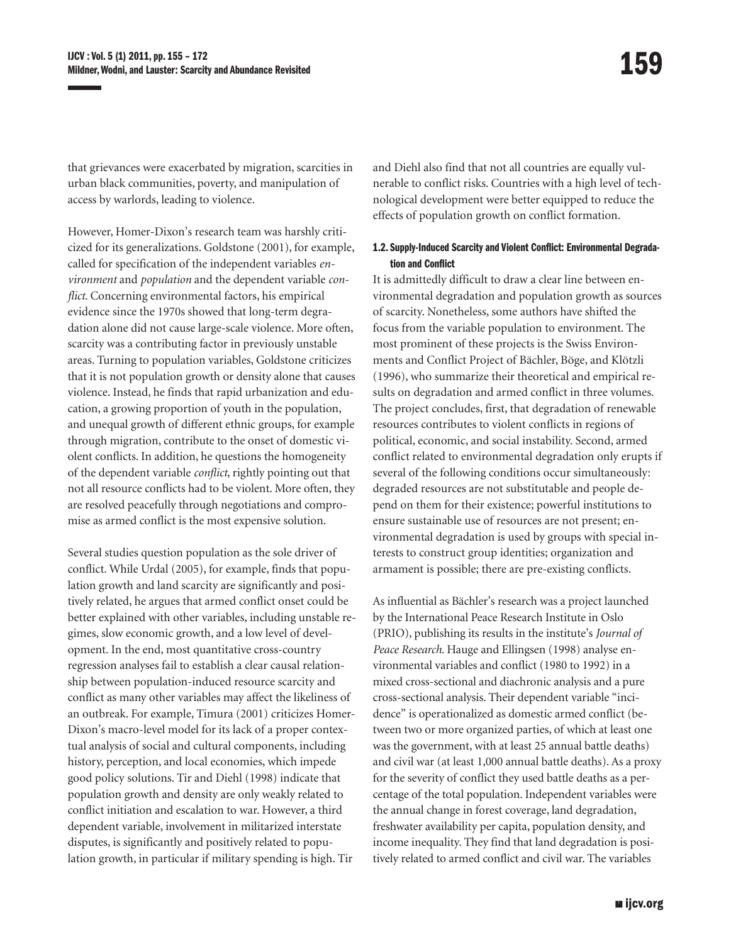that grievances were exacerbated by migration, scarcities in urban black communities, poverty, and manipulation of access by warlords, leading to violence.

However, Homer-Dixon's research team was harshly criticized for its generalizations. Goldstone (2001), for example, called for specification of the independent variables *environment* and *population* and the dependent variable *conflict*. Concerning environmental factors, his empirical evidence since the 1970s showed that long-term degradation alone did not cause large-scale violence. More often, scarcity was a contributing factor in previously unstable areas. Turning to population variables, Goldstone criticizes that it is not population growth or density alone that causes violence. Instead, he finds that rapid urbanization and education, a growing proportion of youth in the population, and unequal growth of different ethnic groups, for example through migration, contribute to the onset of domestic violent conflicts. In addition, he questions the homogeneity of the dependent variable *conflict*, rightly pointing out that not all resource conflicts had to be violent. More often, they are resolved peacefully through negotiations and compromise as armed conflict is the most expensive solution.

Several studies question population as the sole driver of conflict. While Urdal (2005), for example, finds that population growth and land scarcity are significantly and positively related, he argues that armed conflict onset could be better explained with other variables, including unstable regimes, slow economic growth, and a low level of development. In the end, most quantitative cross-country regression analyses fail to establish a clear causal relationship between population-induced resource scarcity and conflict as many other variables may affect the likeliness of an outbreak. For example, Timura (2001) criticizes Homer-Dixon's macro-level model for its lack of a proper contextual analysis of social and cultural components, including history, perception, and local economies, which impede good policy solutions. Tir and Diehl (1998) indicate that population growth and density are only weakly related to conflict initiation and escalation to war. However, a third dependent variable, involvement in militarized interstate disputes, is significantly and positively related to population growth, in particular if military spending is high. Tir

and Diehl also find that not all countries are equally vulnerable to conflict risks. Countries with a high level of technological development were better equipped to reduce the effects of population growth on conflict formation.

## 1.2. Supply-Induced Scarcity and Violent Conflict: Environmental Degradation and Conflict

It is admittedly difficult to draw a clear line between environmental degradation and population growth as sources of scarcity. Nonetheless, some authors have shifted the focus from the variable population to environment. The most prominent of these projects is the Swiss Environments and Conflict Project of Bächler, Böge, and Klötzli (1996), who summarize their theoretical and empirical results on degradation and armed conflict in three volumes. The project concludes, first, that degradation of renewable resources contributes to violent conflicts in regions of political, economic, and social instability. Second, armed conflict related to environmental degradation only erupts if several of the following conditions occur simultaneously: degraded resources are not substitutable and people depend on them for their existence; powerful institutions to ensure sustainable use of resources are not present; environmental degradation is used by groups with special interests to construct group identities; organization and armament is possible; there are pre-existing conflicts.

As influential as Bächler's research was a project launched by the International Peace Research Institute in Oslo (PRIO), publishing its results in the institute's *Journal of Peace Research*. Hauge and Ellingsen (1998) analyse environmental variables and conflict (1980 to 1992) in a mixed cross-sectional and diachronic analysis and a pure cross-sectional analysis. Their dependent variable "incidence" is operationalized as domestic armed conflict (between two or more organized parties, of which at least one was the government, with at least 25 annual battle deaths) and civil war (at least 1,000 annual battle deaths). As a proxy for the severity of conflict they used battle deaths as a percentage of the total population. Independent variables were the annual change in forest coverage, land degradation, freshwater availability per capita, population density, and income inequality. They find that land degradation is positively related to armed conflict and civil war. The variables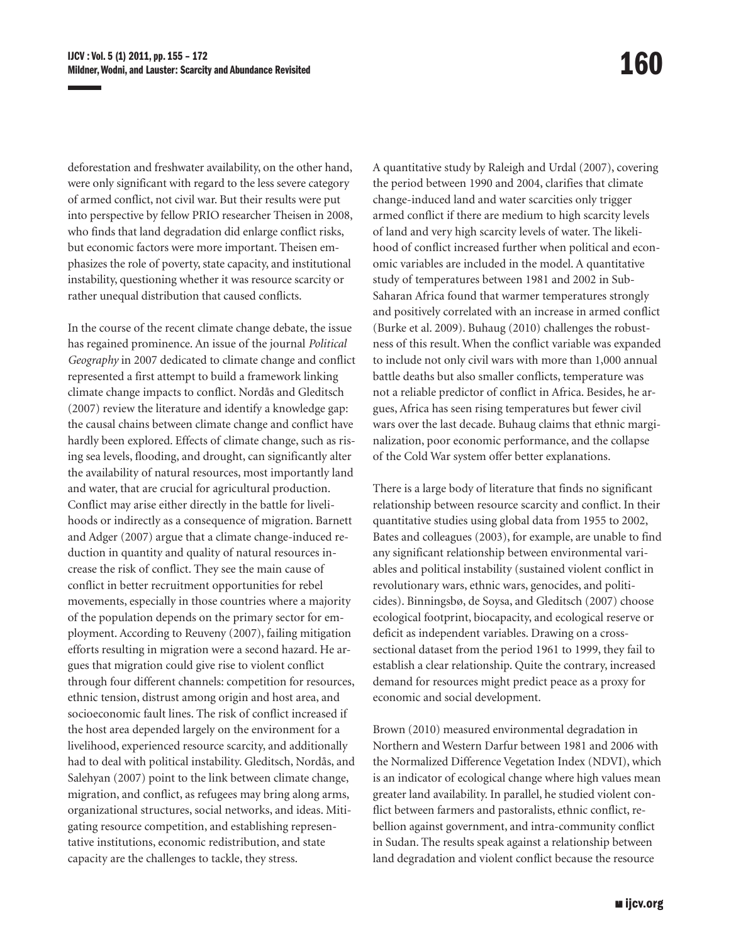deforestation and freshwater availability, on the other hand, were only significant with regard to the less severe category of armed conflict, not civil war. But their results were put into perspective by fellow PRIO researcher Theisen in 2008, who finds that land degradation did enlarge conflict risks, but economic factors were more important. Theisen emphasizes the role of poverty, state capacity, and institutional instability, questioning whether it was resource scarcity or rather unequal distribution that caused conflicts.

In the course of the recent climate change debate, the issue has regained prominence. An issue of the journal *Political Geography* in 2007 dedicated to climate change and conflict represented a first attempt to build a framework linking climate change impacts to conflict. Nordås and Gleditsch (2007) review the literature and identify a knowledge gap: the causal chains between climate change and conflict have hardly been explored. Effects of climate change, such as rising sea levels, flooding, and drought, can significantly alter the availability of natural resources, most importantly land and water, that are crucial for agricultural production. Conflict may arise either directly in the battle for livelihoods or indirectly as a consequence of migration. Barnett and Adger (2007) argue that a climate change-induced reduction in quantity and quality of natural resources increase the risk of conflict. They see the main cause of conflict in better recruitment opportunities for rebel movements, especially in those countries where a majority of the population depends on the primary sector for employment. According to Reuveny (2007), failing mitigation efforts resulting in migration were a second hazard. He argues that migration could give rise to violent conflict through four different channels: competition for resources, ethnic tension, distrust among origin and host area, and socioeconomic fault lines. The risk of conflict increased if the host area depended largely on the environment for a livelihood, experienced resource scarcity, and additionally had to deal with political instability. Gleditsch, Nordås, and Salehyan (2007) point to the link between climate change, migration, and conflict, as refugees may bring along arms, organizational structures, social networks, and ideas. Mitigating resource competition, and establishing representative institutions, economic redistribution, and state capacity are the challenges to tackle, they stress.

A quantitative study by Raleigh and Urdal (2007), covering the period between 1990 and 2004, clarifies that climate change-induced land and water scarcities only trigger armed conflict if there are medium to high scarcity levels of land and very high scarcity levels of water. The likelihood of conflict increased further when political and economic variables are included in the model. A quantitative study of temperatures between 1981 and 2002 in Sub-Saharan Africa found that warmer temperatures strongly and positively correlated with an increase in armed conflict (Burke et al. 2009). Buhaug (2010) challenges the robustness of this result. When the conflict variable was expanded to include not only civil wars with more than 1,000 annual battle deaths but also smaller conflicts, temperature was not a reliable predictor of conflict in Africa. Besides, he argues, Africa has seen rising temperatures but fewer civil wars over the last decade. Buhaug claims that ethnic marginalization, poor economic performance, and the collapse of the Cold War system offer better explanations.

There is a large body of literature that finds no significant relationship between resource scarcity and conflict. In their quantitative studies using global data from 1955 to 2002, Bates and colleagues (2003), for example, are unable to find any significant relationship between environmental variables and political instability (sustained violent conflict in revolutionary wars, ethnic wars, genocides, and politicides). Binningsbø, de Soysa, and Gleditsch (2007) choose ecological footprint, biocapacity, and ecological reserve or deficit as independent variables. Drawing on a crosssectional dataset from the period 1961 to 1999, they fail to establish a clear relationship. Quite the contrary, increased demand for resources might predict peace as a proxy for economic and social development.

Brown (2010) measured environmental degradation in Northern and Western Darfur between 1981 and 2006 with the Normalized Difference Vegetation Index (NDVI), which is an indicator of ecological change where high values mean greater land availability. In parallel, he studied violent conflict between farmers and pastoralists, ethnic conflict, rebellion against government, and intra-community conflict in Sudan. The results speak against a relationship between land degradation and violent conflict because the resource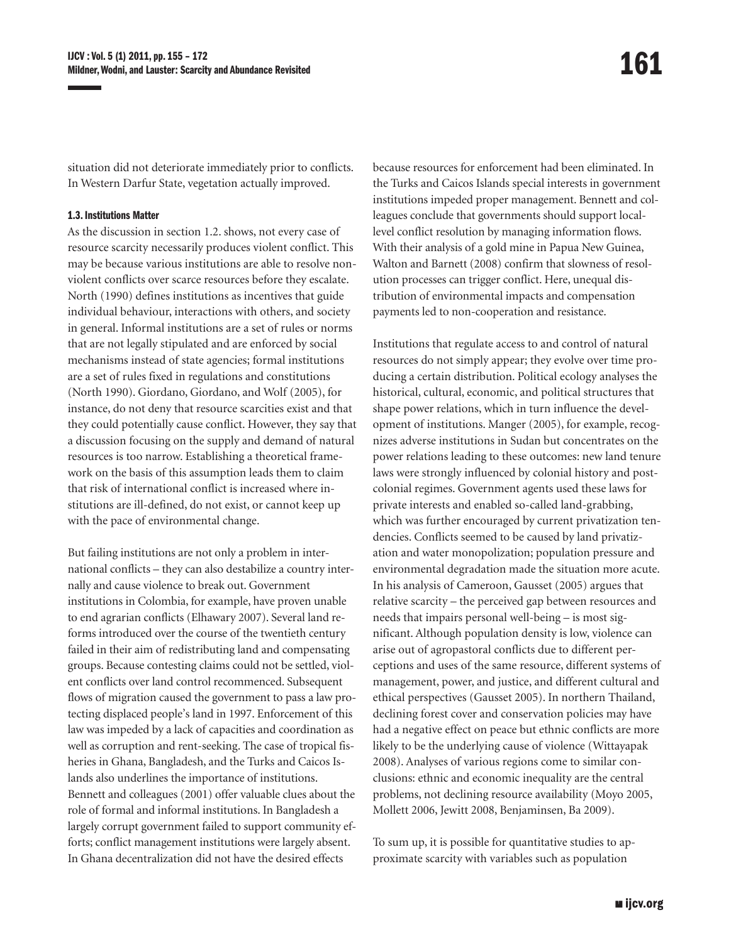situation did not deteriorate immediately prior to conflicts. In Western Darfur State, vegetation actually improved.

## 1.3. Institutions Matter

As the discussion in section 1.2. shows, not every case of resource scarcity necessarily produces violent conflict. This may be because various institutions are able to resolve nonviolent conflicts over scarce resources before they escalate. North (1990) defines institutions as incentives that guide individual behaviour, interactions with others, and society in general. Informal institutions are a set of rules or norms that are not legally stipulated and are enforced by social mechanisms instead of state agencies; formal institutions are a set of rules fixed in regulations and constitutions (North 1990). Giordano, Giordano, and Wolf (2005), for instance, do not deny that resource scarcities exist and that they could potentially cause conflict. However, they say that a discussion focusing on the supply and demand of natural resources is too narrow. Establishing a theoretical framework on the basis of this assumption leads them to claim that risk of international conflict is increased where institutions are ill-defined, do not exist, or cannot keep up with the pace of environmental change.

But failing institutions are not only a problem in international conflicts – they can also destabilize a country internally and cause violence to break out. Government institutions in Colombia, for example, have proven unable to end agrarian conflicts (Elhawary 2007). Several land reforms introduced over the course of the twentieth century failed in their aim of redistributing land and compensating groups. Because contesting claims could not be settled, violent conflicts over land control recommenced. Subsequent flows of migration caused the government to pass a law protecting displaced people's land in 1997. Enforcement of this law was impeded by a lack of capacities and coordination as well as corruption and rent-seeking. The case of tropical fisheries in Ghana, Bangladesh, and the Turks and Caicos Islands also underlines the importance of institutions. Bennett and colleagues (2001) offer valuable clues about the role of formal and informal institutions. In Bangladesh a largely corrupt government failed to support community efforts; conflict management institutions were largely absent. In Ghana decentralization did not have the desired effects

because resources for enforcement had been eliminated. In the Turks and Caicos Islands special interests in government institutions impeded proper management. Bennett and colleagues conclude that governments should support locallevel conflict resolution by managing information flows. With their analysis of a gold mine in Papua New Guinea, Walton and Barnett (2008) confirm that slowness of resolution processes can trigger conflict. Here, unequal distribution of environmental impacts and compensation payments led to non-cooperation and resistance.

Institutions that regulate access to and control of natural resources do not simply appear; they evolve over time producing a certain distribution. Political ecology analyses the historical, cultural, economic, and political structures that shape power relations, which in turn influence the development of institutions. Manger (2005), for example, recognizes adverse institutions in Sudan but concentrates on the power relations leading to these outcomes: new land tenure laws were strongly influenced by colonial history and postcolonial regimes. Government agents used these laws for private interests and enabled so-called land-grabbing, which was further encouraged by current privatization tendencies. Conflicts seemed to be caused by land privatization and water monopolization; population pressure and environmental degradation made the situation more acute. In his analysis of Cameroon, Gausset (2005) argues that relative scarcity – the perceived gap between resources and needs that impairs personal well-being – is most significant. Although population density is low, violence can arise out of agropastoral conflicts due to different perceptions and uses of the same resource, different systems of management, power, and justice, and different cultural and ethical perspectives (Gausset 2005). In northern Thailand, declining forest cover and conservation policies may have had a negative effect on peace but ethnic conflicts are more likely to be the underlying cause of violence (Wittayapak 2008). Analyses of various regions come to similar conclusions: ethnic and economic inequality are the central problems, not declining resource availability (Moyo 2005, Mollett 2006, Jewitt 2008, Benjaminsen, Ba 2009).

To sum up, it is possible for quantitative studies to approximate scarcity with variables such as population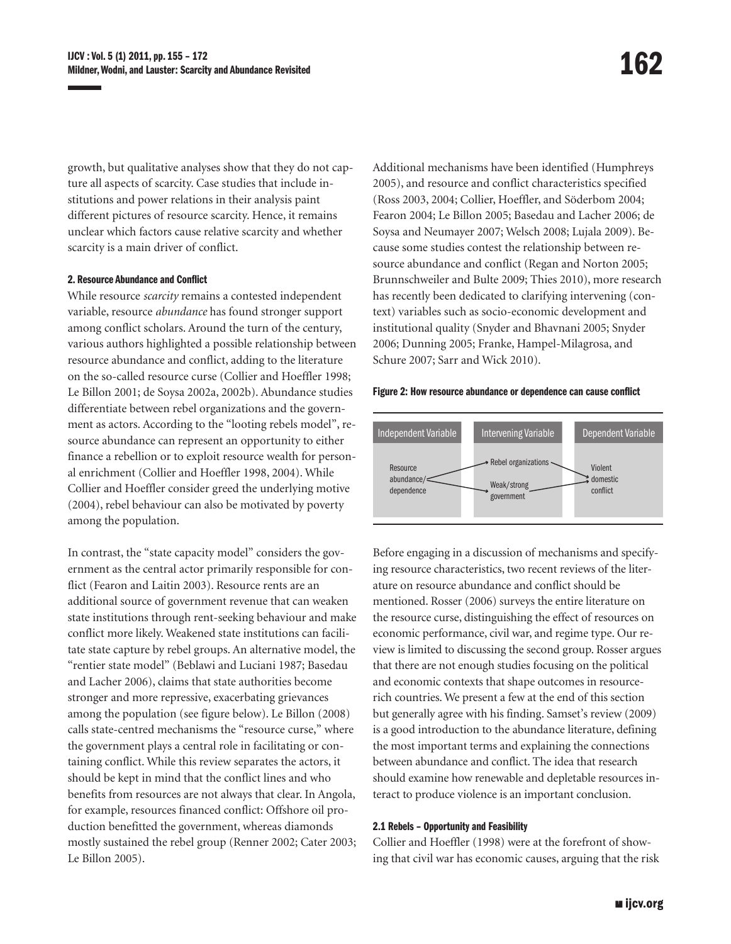growth, but qualitative analyses show that they do not capture all aspects of scarcity. Case studies that include institutions and power relations in their analysis paint different pictures of resource scarcity. Hence, it remains unclear which factors cause relative scarcity and whether scarcity is a main driver of conflict.

#### 2. Resource Abundance and Conflict

While resource *scarcity* remains a contested independent variable, resource *abundance* has found stronger support among conflict scholars. Around the turn of the century, various authors highlighted a possible relationship between resource abundance and conflict, adding to the literature on the so-called resource curse (Collier and Hoeffler 1998; Le Billon 2001; de Soysa 2002a, 2002b). Abundance studies differentiate between rebel organizations and the government as actors. According to the "looting rebels model", resource abundance can represent an opportunity to either finance a rebellion or to exploit resource wealth for personal enrichment (Collier and Hoeffler 1998, 2004). While Collier and Hoeffler consider greed the underlying motive (2004), rebel behaviour can also be motivated by poverty among the population.

In contrast, the "state capacity model" considers the government as the central actor primarily responsible for conflict (Fearon and Laitin 2003). Resource rents are an additional source of government revenue that can weaken state institutions through rent-seeking behaviour and make conflict more likely. Weakened state institutions can facilitate state capture by rebel groups. An alternative model, the "rentier state model" (Beblawi and Luciani 1987; Basedau and Lacher 2006), claims that state authorities become stronger and more repressive, exacerbating grievances among the population (see figure below). Le Billon (2008) calls state-centred mechanisms the "resource curse," where the government plays a central role in facilitating or containing conflict. While this review separates the actors, it should be kept in mind that the conflict lines and who benefits from resources are not always that clear. In Angola, for example, resources financed conflict: Offshore oil production benefitted the government, whereas diamonds mostly sustained the rebel group (Renner 2002; Cater 2003; Le Billon 2005).

Additional mechanisms have been identified (Humphreys 2005), and resource and conflict characteristics specified (Ross 2003, 2004; Collier, Hoeffler, and Söderbom 2004; Fearon 2004; Le Billon 2005; Basedau and Lacher 2006; de Soysa and Neumayer 2007; Welsch 2008; Lujala 2009). Because some studies contest the relationship between resource abundance and conflict (Regan and Norton 2005; Brunnschweiler and Bulte 2009; Thies 2010), more research has recently been dedicated to clarifying intervening (context) variables such as socio-economic development and institutional quality (Snyder and Bhavnani 2005; Snyder 2006; Dunning 2005; Franke, Hampel-Milagrosa, and Schure 2007; Sarr and Wick 2010).

#### Figure 2: How resource abundance or dependence can cause conflict



Before engaging in a discussion of mechanisms and specifying resource characteristics, two recent reviews of the literature on resource abundance and conflict should be mentioned. Rosser (2006) surveys the entire literature on the resource curse, distinguishing the effect of resources on economic performance, civil war, and regime type. Our review is limited to discussing the second group. Rosser argues that there are not enough studies focusing on the political and economic contexts that shape outcomes in resourcerich countries. We present a few at the end of this section but generally agree with his finding. Samset's review (2009) is a good introduction to the abundance literature, defining the most important terms and explaining the connections between abundance and conflict. The idea that research should examine how renewable and depletable resources interact to produce violence is an important conclusion.

## 2.1 Rebels – Opportunity and Feasibility

Collier and Hoeffler (1998) were at the forefront of showing that civil war has economic causes, arguing that the risk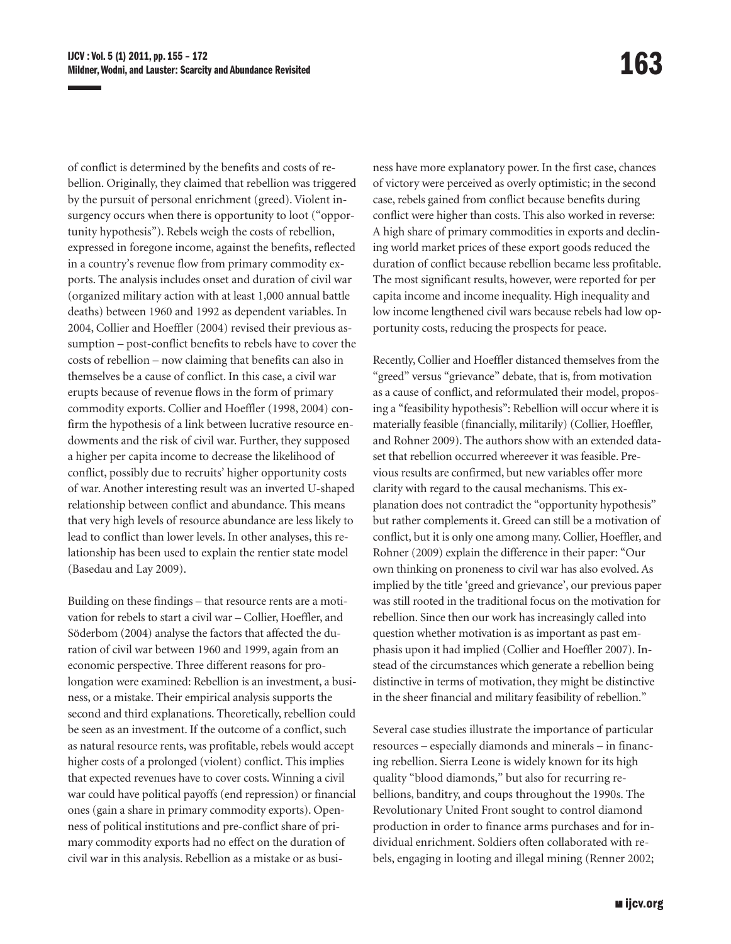of conflict is determined by the benefits and costs of rebellion. Originally, they claimed that rebellion was triggered by the pursuit of personal enrichment (greed). Violent insurgency occurs when there is opportunity to loot ("opportunity hypothesis"). Rebels weigh the costs of rebellion, expressed in foregone income, against the benefits, reflected in a country's revenue flow from primary commodity exports. The analysis includes onset and duration of civil war (organized military action with at least 1,000 annual battle deaths) between 1960 and 1992 as dependent variables. In 2004, Collier and Hoeffler (2004) revised their previous assumption – post-conflict benefits to rebels have to cover the costs of rebellion – now claiming that benefits can also in themselves be a cause of conflict. In this case, a civil war erupts because of revenue flows in the form of primary commodity exports. Collier and Hoeffler (1998, 2004) confirm the hypothesis of a link between lucrative resource endowments and the risk of civil war. Further, they supposed a higher per capita income to decrease the likelihood of conflict, possibly due to recruits' higher opportunity costs of war. Another interesting result was an inverted U-shaped relationship between conflict and abundance. This means that very high levels of resource abundance are less likely to lead to conflict than lower levels. In other analyses, this relationship has been used to explain the rentier state model (Basedau and Lay 2009).

Building on these findings – that resource rents are a motivation for rebels to start a civil war – Collier, Hoeffler, and Söderbom (2004) analyse the factors that affected the duration of civil war between 1960 and 1999, again from an economic perspective. Three different reasons for prolongation were examined: Rebellion is an investment, a business, or a mistake. Their empirical analysis supports the second and third explanations. Theoretically, rebellion could be seen as an investment. If the outcome of a conflict, such as natural resource rents, was profitable, rebels would accept higher costs of a prolonged (violent) conflict. This implies that expected revenues have to cover costs. Winning a civil war could have political payoffs (end repression) or financial ones (gain a share in primary commodity exports). Openness of political institutions and pre-conflict share of primary commodity exports had no effect on the duration of civil war in this analysis. Rebellion as a mistake or as business have more explanatory power. In the first case, chances of victory were perceived as overly optimistic; in the second case, rebels gained from conflict because benefits during conflict were higher than costs. This also worked in reverse: A high share of primary commodities in exports and declining world market prices of these export goods reduced the duration of conflict because rebellion became less profitable. The most significant results, however, were reported for per capita income and income inequality. High inequality and low income lengthened civil wars because rebels had low opportunity costs, reducing the prospects for peace.

Recently, Collier and Hoeffler distanced themselves from the "greed" versus "grievance" debate, that is, from motivation as a cause of conflict, and reformulated their model, proposing a "feasibility hypothesis": Rebellion will occur where it is materially feasible (financially, militarily) (Collier, Hoeffler, and Rohner 2009). The authors show with an extended dataset that rebellion occurred whereever it was feasible. Previous results are confirmed, but new variables offer more clarity with regard to the causal mechanisms. This explanation does not contradict the "opportunity hypothesis" but rather complements it. Greed can still be a motivation of conflict, but it is only one among many. Collier, Hoeffler, and Rohner (2009) explain the difference in their paper: "Our own thinking on proneness to civil war has also evolved. As implied by the title 'greed and grievance', our previous paper was still rooted in the traditional focus on the motivation for rebellion. Since then our work has increasingly called into question whether motivation is as important as past emphasis upon it had implied (Collier and Hoeffler 2007). Instead of the circumstances which generate a rebellion being distinctive in terms of motivation, they might be distinctive in the sheer financial and military feasibility of rebellion."

Several case studies illustrate the importance of particular resources – especially diamonds and minerals – in financing rebellion. Sierra Leone is widely known for its high quality "blood diamonds," but also for recurring rebellions, banditry, and coups throughout the 1990s. The Revolutionary United Front sought to control diamond production in order to finance arms purchases and for individual enrichment. Soldiers often collaborated with rebels, engaging in looting and illegal mining (Renner 2002;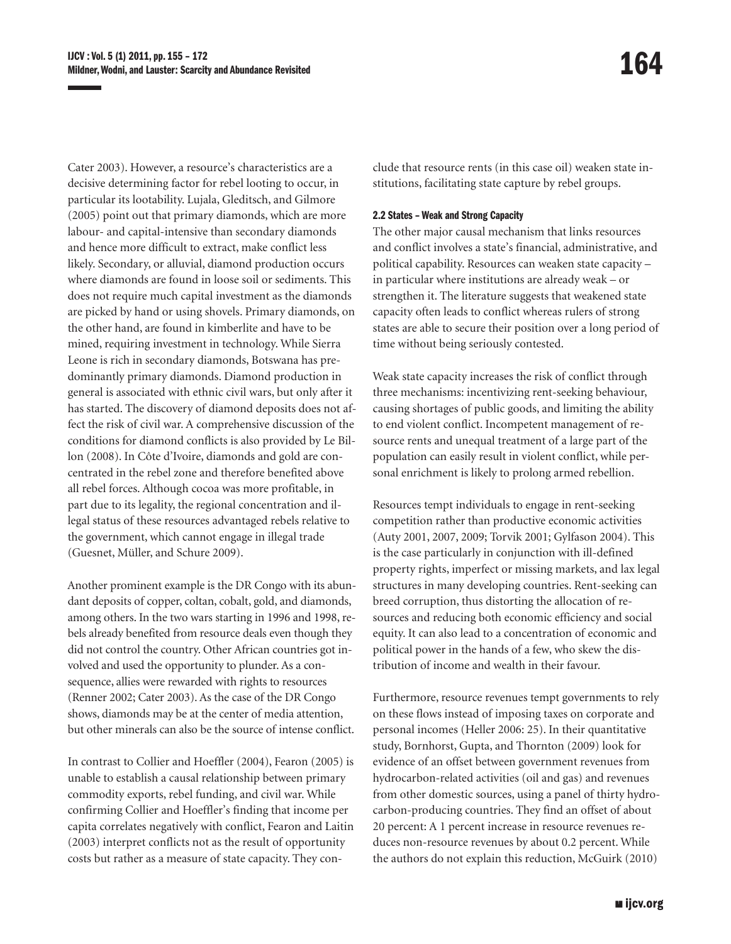Cater 2003). However, a resource's characteristics are a decisive determining factor for rebel looting to occur, in particular its lootability. Lujala, Gleditsch, and Gilmore (2005) point out that primary diamonds, which are more labour- and capital-intensive than secondary diamonds and hence more difficult to extract, make conflict less likely. Secondary, or alluvial, diamond production occurs where diamonds are found in loose soil or sediments. This does not require much capital investment as the diamonds are picked by hand or using shovels. Primary diamonds, on the other hand, are found in kimberlite and have to be mined, requiring investment in technology. While Sierra Leone is rich in secondary diamonds, Botswana has predominantly primary diamonds. Diamond production in general is associated with ethnic civil wars, but only after it has started. The discovery of diamond deposits does not affect the risk of civil war. A comprehensive discussion of the conditions for diamond conflicts is also provided by Le Billon (2008). In Côte d'Ivoire, diamonds and gold are concentrated in the rebel zone and therefore benefited above all rebel forces. Although cocoa was more profitable, in part due to its legality, the regional concentration and illegal status of these resources advantaged rebels relative to the government, which cannot engage in illegal trade (Guesnet, Müller, and Schure 2009).

Another prominent example is the DR Congo with its abundant deposits of copper, coltan, cobalt, gold, and diamonds, among others. In the two wars starting in 1996 and 1998, rebels already benefited from resource deals even though they did not control the country. Other African countries got involved and used the opportunity to plunder. As a consequence, allies were rewarded with rights to resources (Renner 2002; Cater 2003). As the case of the DR Congo shows, diamonds may be at the center of media attention, but other minerals can also be the source of intense conflict.

In contrast to Collier and Hoeffler (2004), Fearon (2005) is unable to establish a causal relationship between primary commodity exports, rebel funding, and civil war. While confirming Collier and Hoeffler's finding that income per capita correlates negatively with conflict, Fearon and Laitin (2003) interpret conflicts not as the result of opportunity costs but rather as a measure of state capacity. They conclude that resource rents (in this case oil) weaken state institutions, facilitating state capture by rebel groups.

## 2.2 States – Weak and Strong Capacity

The other major causal mechanism that links resources and conflict involves a state's financial, administrative, and political capability. Resources can weaken state capacity – in particular where institutions are already weak – or strengthen it. The literature suggests that weakened state capacity often leads to conflict whereas rulers of strong states are able to secure their position over a long period of time without being seriously contested.

Weak state capacity increases the risk of conflict through three mechanisms: incentivizing rent-seeking behaviour, causing shortages of public goods, and limiting the ability to end violent conflict. Incompetent management of resource rents and unequal treatment of a large part of the population can easily result in violent conflict, while personal enrichment is likely to prolong armed rebellion.

Resources tempt individuals to engage in rent-seeking competition rather than productive economic activities (Auty 2001, 2007, 2009; Torvik 2001; Gylfason 2004). This is the case particularly in conjunction with ill-defined property rights, imperfect or missing markets, and lax legal structures in many developing countries. Rent-seeking can breed corruption, thus distorting the allocation of resources and reducing both economic efficiency and social equity. It can also lead to a concentration of economic and political power in the hands of a few, who skew the distribution of income and wealth in their favour.

Furthermore, resource revenues tempt governments to rely on these flows instead of imposing taxes on corporate and personal incomes (Heller 2006: 25). In their quantitative study, Bornhorst, Gupta, and Thornton (2009) look for evidence of an offset between government revenues from hydrocarbon-related activities (oil and gas) and revenues from other domestic sources, using a panel of thirty hydrocarbon-producing countries. They find an offset of about 20 percent: A 1 percent increase in resource revenues reduces non-resource revenues by about 0.2 percent. While the authors do not explain this reduction, McGuirk (2010)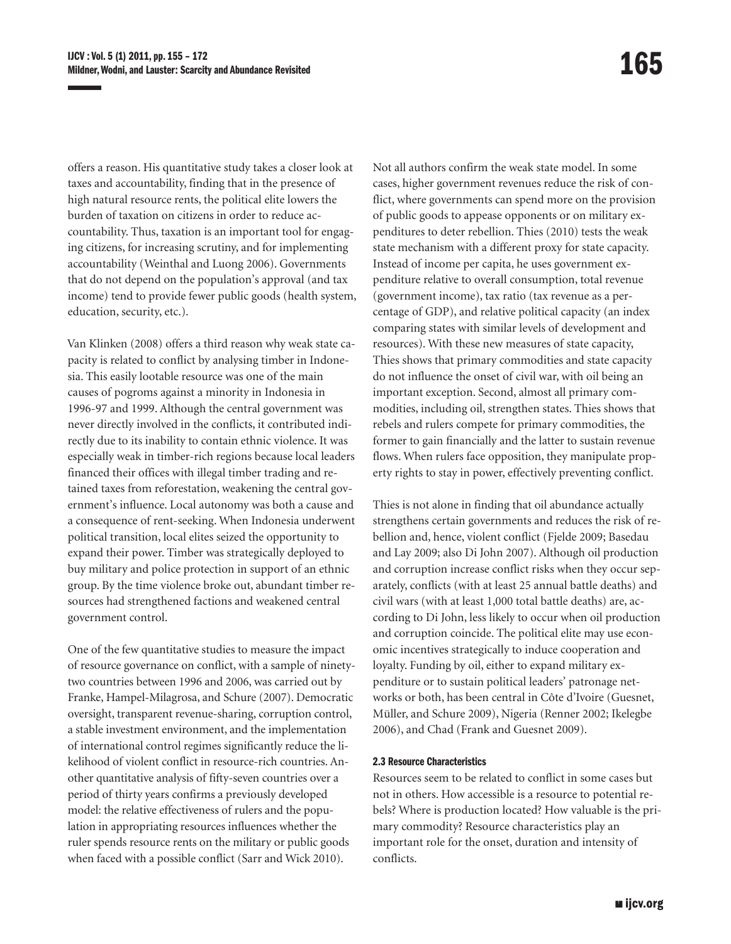offers a reason. His quantitative study takes a closer look at taxes and accountability, finding that in the presence of high natural resource rents, the political elite lowers the burden of taxation on citizens in order to reduce accountability. Thus, taxation is an important tool for engaging citizens, for increasing scrutiny, and for implementing accountability (Weinthal and Luong 2006). Governments that do not depend on the population's approval (and tax income) tend to provide fewer public goods (health system, education, security, etc.).

Van Klinken (2008) offers a third reason why weak state capacity is related to conflict by analysing timber in Indonesia. This easily lootable resource was one of the main causes of pogroms against a minority in Indonesia in 1996-97 and 1999. Although the central government was never directly involved in the conflicts, it contributed indirectly due to its inability to contain ethnic violence. It was especially weak in timber-rich regions because local leaders financed their offices with illegal timber trading and retained taxes from reforestation, weakening the central government's influence. Local autonomy was both a cause and a consequence of rent-seeking. When Indonesia underwent political transition, local elites seized the opportunity to expand their power. Timber was strategically deployed to buy military and police protection in support of an ethnic group. By the time violence broke out, abundant timber resources had strengthened factions and weakened central government control.

One of the few quantitative studies to measure the impact of resource governance on conflict, with a sample of ninetytwo countries between 1996 and 2006, was carried out by Franke, Hampel-Milagrosa, and Schure (2007). Democratic oversight, transparent revenue-sharing, corruption control, a stable investment environment, and the implementation of international control regimes significantly reduce the likelihood of violent conflict in resource-rich countries. Another quantitative analysis of fifty-seven countries over a period of thirty years confirms a previously developed model: the relative effectiveness of rulers and the population in appropriating resources influences whether the ruler spends resource rents on the military or public goods when faced with a possible conflict (Sarr and Wick 2010).

Not all authors confirm the weak state model. In some cases, higher government revenues reduce the risk of conflict, where governments can spend more on the provision of public goods to appease opponents or on military expenditures to deter rebellion. Thies (2010) tests the weak state mechanism with a different proxy for state capacity. Instead of income per capita, he uses government expenditure relative to overall consumption, total revenue (government income), tax ratio (tax revenue as a percentage of GDP), and relative political capacity (an index comparing states with similar levels of development and resources). With these new measures of state capacity, Thies shows that primary commodities and state capacity do not influence the onset of civil war, with oil being an important exception. Second, almost all primary commodities, including oil, strengthen states. Thies shows that rebels and rulers compete for primary commodities, the former to gain financially and the latter to sustain revenue flows. When rulers face opposition, they manipulate property rights to stay in power, effectively preventing conflict.

Thies is not alone in finding that oil abundance actually strengthens certain governments and reduces the risk of rebellion and, hence, violent conflict (Fjelde 2009; Basedau and Lay 2009; also Di John 2007). Although oil production and corruption increase conflict risks when they occur separately, conflicts (with at least 25 annual battle deaths) and civil wars (with at least 1,000 total battle deaths) are, according to Di John, less likely to occur when oil production and corruption coincide. The political elite may use economic incentives strategically to induce cooperation and loyalty. Funding by oil, either to expand military expenditure or to sustain political leaders' patronage networks or both, has been central in Côte d'Ivoire (Guesnet, Müller, and Schure 2009), Nigeria (Renner 2002; Ikelegbe 2006), and Chad (Frank and Guesnet 2009).

## 2.3 Resource Characteristics

Resources seem to be related to conflict in some cases but not in others. How accessible is a resource to potential rebels? Where is production located? How valuable is the primary commodity? Resource characteristics play an important role for the onset, duration and intensity of conflicts.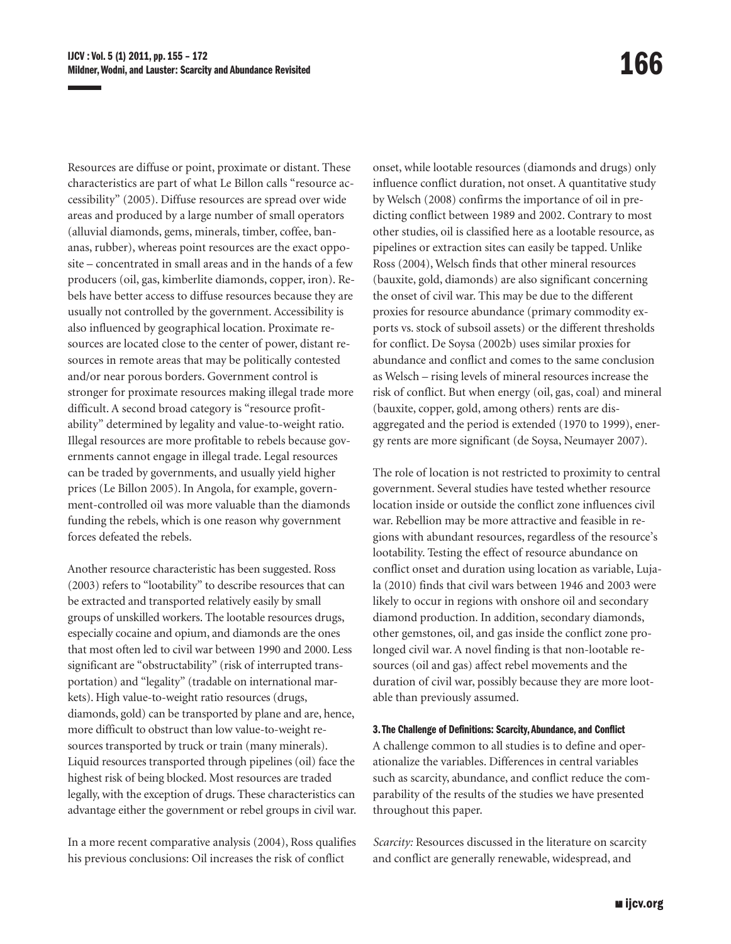Resources are diffuse or point, proximate or distant. These characteristics are part of what Le Billon calls "resource accessibility" (2005). Diffuse resources are spread over wide areas and produced by a large number of small operators (alluvial diamonds, gems, minerals, timber, coffee, bananas, rubber), whereas point resources are the exact opposite – concentrated in small areas and in the hands of a few producers (oil, gas, kimberlite diamonds, copper, iron). Rebels have better access to diffuse resources because they are usually not controlled by the government. Accessibility is also influenced by geographical location. Proximate resources are located close to the center of power, distant resources in remote areas that may be politically contested and/or near porous borders. Government control is stronger for proximate resources making illegal trade more difficult. A second broad category is "resource profitability" determined by legality and value-to-weight ratio. Illegal resources are more profitable to rebels because governments cannot engage in illegal trade. Legal resources can be traded by governments, and usually yield higher prices (Le Billon 2005). In Angola, for example, government-controlled oil was more valuable than the diamonds funding the rebels, which is one reason why government forces defeated the rebels.

Another resource characteristic has been suggested. Ross (2003) refers to "lootability" to describe resources that can be extracted and transported relatively easily by small groups of unskilled workers. The lootable resources drugs, especially cocaine and opium, and diamonds are the ones that most often led to civil war between 1990 and 2000. Less significant are "obstructability" (risk of interrupted transportation) and "legality" (tradable on international markets). High value-to-weight ratio resources (drugs, diamonds, gold) can be transported by plane and are, hence, more difficult to obstruct than low value-to-weight resources transported by truck or train (many minerals). Liquid resources transported through pipelines (oil) face the highest risk of being blocked. Most resources are traded legally, with the exception of drugs. These characteristics can advantage either the government or rebel groups in civil war.

In a more recent comparative analysis (2004), Ross qualifies his previous conclusions: Oil increases the risk of conflict

onset, while lootable resources (diamonds and drugs) only influence conflict duration, not onset. A quantitative study by Welsch (2008) confirms the importance of oil in predicting conflict between 1989 and 2002. Contrary to most other studies, oil is classified here as a lootable resource, as pipelines or extraction sites can easily be tapped. Unlike Ross (2004), Welsch finds that other mineral resources (bauxite, gold, diamonds) are also significant concerning the onset of civil war. This may be due to the different proxies for resource abundance (primary commodity exports vs. stock of subsoil assets) or the different thresholds for conflict. De Soysa (2002b) uses similar proxies for abundance and conflict and comes to the same conclusion as Welsch – rising levels of mineral resources increase the risk of conflict. But when energy (oil, gas, coal) and mineral (bauxite, copper, gold, among others) rents are disaggregated and the period is extended (1970 to 1999), energy rents are more significant (de Soysa, Neumayer 2007).

The role of location is not restricted to proximity to central government. Several studies have tested whether resource location inside or outside the conflict zone influences civil war. Rebellion may be more attractive and feasible in regions with abundant resources, regardless of the resource's lootability. Testing the effect of resource abundance on conflict onset and duration using location as variable, Lujala (2010) finds that civil wars between 1946 and 2003 were likely to occur in regions with onshore oil and secondary diamond production. In addition, secondary diamonds, other gemstones, oil, and gas inside the conflict zone prolonged civil war. A novel finding is that non-lootable resources (oil and gas) affect rebel movements and the duration of civil war, possibly because they are more lootable than previously assumed.

#### 3. The Challenge of Definitions: Scarcity, Abundance, and Conflict

A challenge common to all studies is to define and operationalize the variables. Differences in central variables such as scarcity, abundance, and conflict reduce the comparability of the results of the studies we have presented throughout this paper.

*Scarcity:* Resources discussed in the literature on scarcity and conflict are generally renewable, widespread, and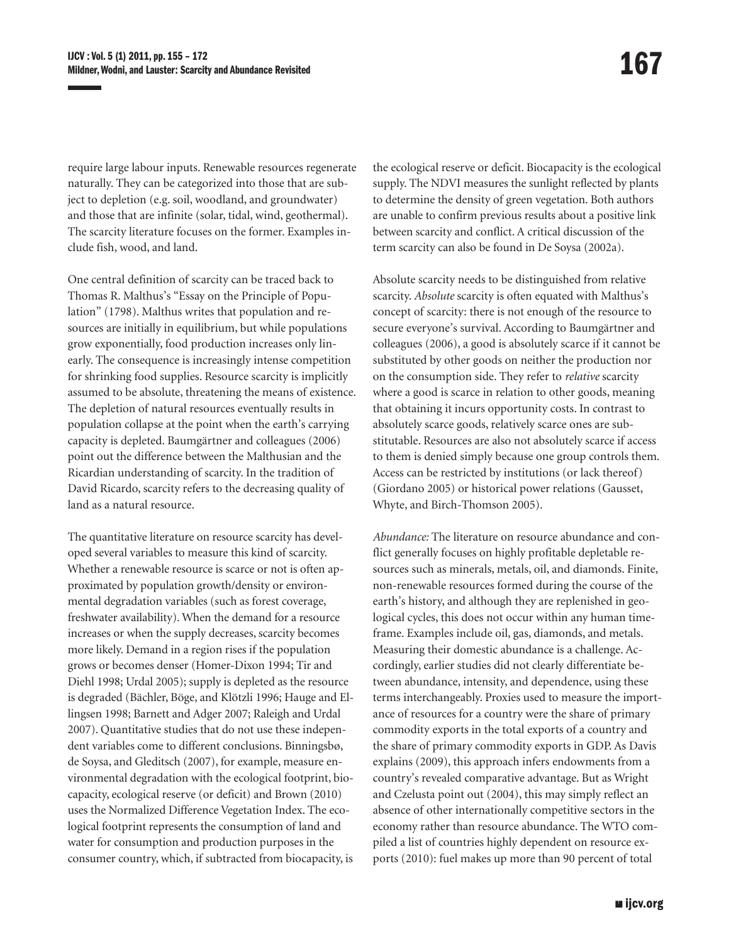require large labour inputs. Renewable resources regenerate naturally. They can be categorized into those that are subject to depletion (e.g. soil, woodland, and groundwater) and those that are infinite (solar, tidal, wind, geothermal). The scarcity literature focuses on the former. Examples include fish, wood, and land.

One central definition of scarcity can be traced back to Thomas R. Malthus's "Essay on the Principle of Population" (1798). Malthus writes that population and resources are initially in equilibrium, but while populations grow exponentially, food production increases only linearly. The consequence is increasingly intense competition for shrinking food supplies. Resource scarcity is implicitly assumed to be absolute, threatening the means of existence. The depletion of natural resources eventually results in population collapse at the point when the earth's carrying capacity is depleted. Baumgärtner and colleagues (2006) point out the difference between the Malthusian and the Ricardian understanding of scarcity. In the tradition of David Ricardo, scarcity refers to the decreasing quality of land as a natural resource.

The quantitative literature on resource scarcity has developed several variables to measure this kind of scarcity. Whether a renewable resource is scarce or not is often approximated by population growth/density or environmental degradation variables (such as forest coverage, freshwater availability). When the demand for a resource increases or when the supply decreases, scarcity becomes more likely. Demand in a region rises if the population grows or becomes denser (Homer-Dixon 1994; Tir and Diehl 1998; Urdal 2005); supply is depleted as the resource is degraded (Bächler, Böge, and Klötzli 1996; Hauge and Ellingsen 1998; Barnett and Adger 2007; Raleigh and Urdal 2007). Quantitative studies that do not use these independent variables come to different conclusions. Binningsbø, de Soysa, and Gleditsch (2007), for example, measure environmental degradation with the ecological footprint, biocapacity, ecological reserve (or deficit) and Brown (2010) uses the Normalized Difference Vegetation Index. The ecological footprint represents the consumption of land and water for consumption and production purposes in the consumer country, which, if subtracted from biocapacity, is the ecological reserve or deficit. Biocapacity is the ecological supply. The NDVI measures the sunlight reflected by plants to determine the density of green vegetation. Both authors are unable to confirm previous results about a positive link between scarcity and conflict. A critical discussion of the term scarcity can also be found in De Soysa (2002a).

Absolute scarcity needs to be distinguished from relative scarcity. *Absolute* scarcity is often equated with Malthus's concept of scarcity: there is not enough of the resource to secure everyone's survival. According to Baumgärtner and colleagues (2006), a good is absolutely scarce if it cannot be substituted by other goods on neither the production nor on the consumption side. They refer to *relative* scarcity where a good is scarce in relation to other goods, meaning that obtaining it incurs opportunity costs. In contrast to absolutely scarce goods, relatively scarce ones are substitutable. Resources are also not absolutely scarce if access to them is denied simply because one group controls them. Access can be restricted by institutions (or lack thereof) (Giordano 2005) or historical power relations (Gausset, Whyte, and Birch-Thomson 2005).

*Abundance:* The literature on resource abundance and conflict generally focuses on highly profitable depletable resources such as minerals, metals, oil, and diamonds. Finite, non-renewable resources formed during the course of the earth's history, and although they are replenished in geological cycles, this does not occur within any human timeframe. Examples include oil, gas, diamonds, and metals. Measuring their domestic abundance is a challenge. Accordingly, earlier studies did not clearly differentiate between abundance, intensity, and dependence, using these terms interchangeably. Proxies used to measure the importance of resources for a country were the share of primary commodity exports in the total exports of a country and the share of primary commodity exports in GDP. As Davis explains (2009), this approach infers endowments from a country's revealed comparative advantage. But as Wright and Czelusta point out (2004), this may simply reflect an absence of other internationally competitive sectors in the economy rather than resource abundance. The WTO compiled a list of countries highly dependent on resource exports (2010): fuel makes up more than 90 percent of total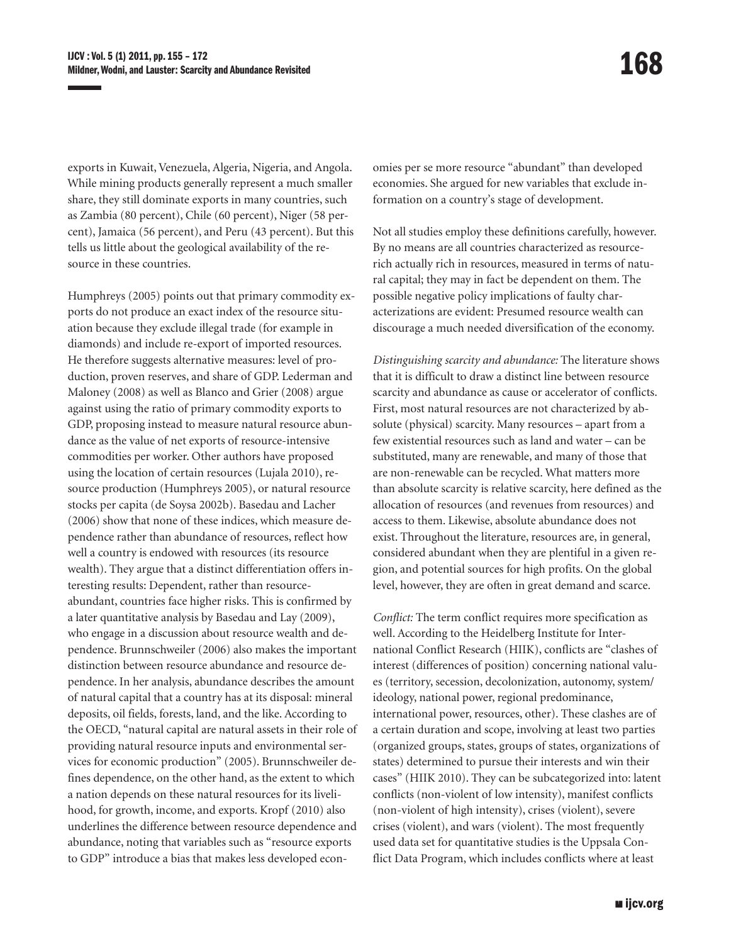exports in Kuwait, Venezuela, Algeria, Nigeria, and Angola. While mining products generally represent a much smaller share, they still dominate exports in many countries, such as Zambia (80 percent), Chile (60 percent), Niger (58 percent), Jamaica (56 percent), and Peru (43 percent). But this tells us little about the geological availability of the resource in these countries.

Humphreys (2005) points out that primary commodity exports do not produce an exact index of the resource situation because they exclude illegal trade (for example in diamonds) and include re-export of imported resources. He therefore suggests alternative measures: level of production, proven reserves, and share of GDP. Lederman and Maloney (2008) as well as Blanco and Grier (2008) argue against using the ratio of primary commodity exports to GDP, proposing instead to measure natural resource abundance as the value of net exports of resource-intensive commodities per worker. Other authors have proposed using the location of certain resources (Lujala 2010), resource production (Humphreys 2005), or natural resource stocks per capita (de Soysa 2002b). Basedau and Lacher (2006) show that none of these indices, which measure dependence rather than abundance of resources, reflect how well a country is endowed with resources (its resource wealth). They argue that a distinct differentiation offers interesting results: Dependent, rather than resourceabundant, countries face higher risks. This is confirmed by a later quantitative analysis by Basedau and Lay (2009), who engage in a discussion about resource wealth and dependence. Brunnschweiler (2006) also makes the important distinction between resource abundance and resource dependence. In her analysis, abundance describes the amount of natural capital that a country has at its disposal: mineral deposits, oil fields, forests, land, and the like. According to the OECD, "natural capital are natural assets in their role of providing natural resource inputs and environmental services for economic production" (2005). Brunnschweiler defines dependence, on the other hand, as the extent to which a nation depends on these natural resources for its livelihood, for growth, income, and exports. Kropf (2010) also underlines the difference between resource dependence and abundance, noting that variables such as "resource exports to GDP" introduce a bias that makes less developed economies per se more resource "abundant" than developed economies. She argued for new variables that exclude information on a country's stage of development.

Not all studies employ these definitions carefully, however. By no means are all countries characterized as resourcerich actually rich in resources, measured in terms of natural capital; they may in fact be dependent on them. The possible negative policy implications of faulty characterizations are evident: Presumed resource wealth can discourage a much needed diversification of the economy.

*Distinguishing scarcity and abundance:* The literature shows that it is difficult to draw a distinct line between resource scarcity and abundance as cause or accelerator of conflicts. First, most natural resources are not characterized by absolute (physical) scarcity. Many resources – apart from a few existential resources such as land and water – can be substituted, many are renewable, and many of those that are non-renewable can be recycled. What matters more than absolute scarcity is relative scarcity, here defined as the allocation of resources (and revenues from resources) and access to them. Likewise, absolute abundance does not exist. Throughout the literature, resources are, in general, considered abundant when they are plentiful in a given region, and potential sources for high profits. On the global level, however, they are often in great demand and scarce.

*Conflict:* The term conflict requires more specification as well. According to the Heidelberg Institute for International Conflict Research (HIIK), conflicts are "clashes of interest (differences of position) concerning national values (territory, secession, decolonization, autonomy, system/ ideology, national power, regional predominance, international power, resources, other). These clashes are of a certain duration and scope, involving at least two parties (organized groups, states, groups of states, organizations of states) determined to pursue their interests and win their cases" (HIIK 2010). They can be subcategorized into: latent conflicts (non-violent of low intensity), manifest conflicts (non-violent of high intensity), crises (violent), severe crises (violent), and wars (violent). The most frequently used data set for quantitative studies is the Uppsala Conflict Data Program, which includes conflicts where at least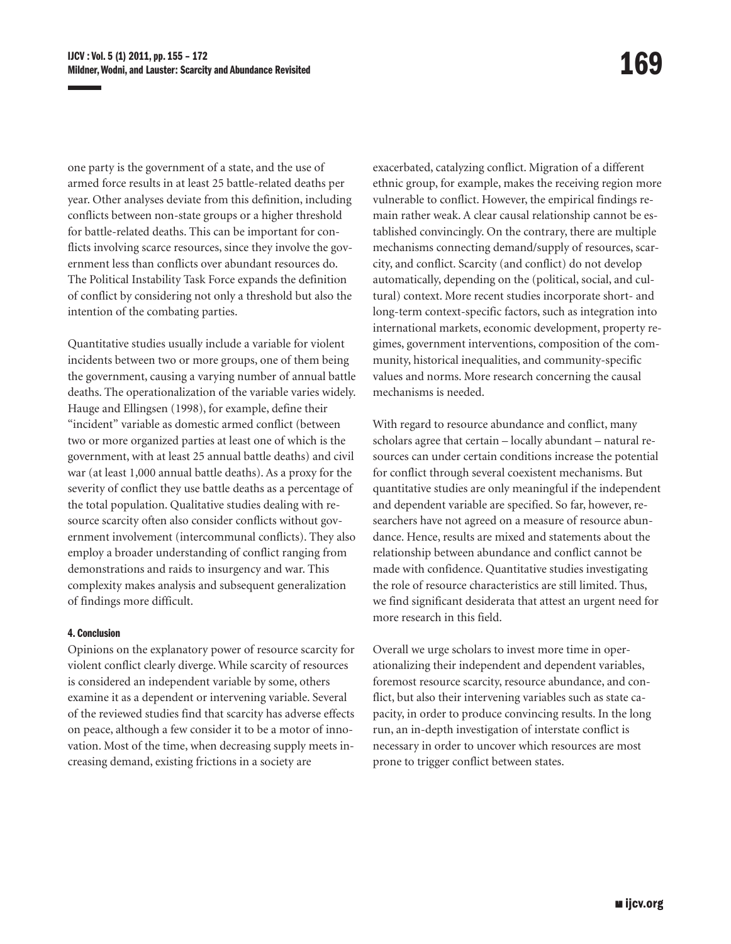one party is the government of a state, and the use of armed force results in at least 25 battle-related deaths per year. Other analyses deviate from this definition, including conflicts between non-state groups or a higher threshold for battle-related deaths. This can be important for conflicts involving scarce resources, since they involve the government less than conflicts over abundant resources do. The Political Instability Task Force expands the definition of conflict by considering not only a threshold but also the intention of the combating parties.

Quantitative studies usually include a variable for violent incidents between two or more groups, one of them being the government, causing a varying number of annual battle deaths. The operationalization of the variable varies widely. Hauge and Ellingsen (1998), for example, define their "incident" variable as domestic armed conflict (between two or more organized parties at least one of which is the government, with at least 25 annual battle deaths) and civil war (at least 1,000 annual battle deaths). As a proxy for the severity of conflict they use battle deaths as a percentage of the total population. Qualitative studies dealing with resource scarcity often also consider conflicts without government involvement (intercommunal conflicts). They also employ a broader understanding of conflict ranging from demonstrations and raids to insurgency and war. This complexity makes analysis and subsequent generalization of findings more difficult.

## 4. Conclusion

Opinions on the explanatory power of resource scarcity for violent conflict clearly diverge. While scarcity of resources is considered an independent variable by some, others examine it as a dependent or intervening variable. Several of the reviewed studies find that scarcity has adverse effects on peace, although a few consider it to be a motor of innovation. Most of the time, when decreasing supply meets increasing demand, existing frictions in a society are

exacerbated, catalyzing conflict. Migration of a different ethnic group, for example, makes the receiving region more vulnerable to conflict. However, the empirical findings remain rather weak. A clear causal relationship cannot be established convincingly. On the contrary, there are multiple mechanisms connecting demand/supply of resources, scarcity, and conflict. Scarcity (and conflict) do not develop automatically, depending on the (political, social, and cultural) context. More recent studies incorporate short- and long-term context-specific factors, such as integration into international markets, economic development, property regimes, government interventions, composition of the community, historical inequalities, and community-specific values and norms. More research concerning the causal mechanisms is needed.

With regard to resource abundance and conflict, many scholars agree that certain – locally abundant – natural resources can under certain conditions increase the potential for conflict through several coexistent mechanisms. But quantitative studies are only meaningful if the independent and dependent variable are specified. So far, however, researchers have not agreed on a measure of resource abundance. Hence, results are mixed and statements about the relationship between abundance and conflict cannot be made with confidence. Quantitative studies investigating the role of resource characteristics are still limited. Thus, we find significant desiderata that attest an urgent need for more research in this field.

Overall we urge scholars to invest more time in operationalizing their independent and dependent variables, foremost resource scarcity, resource abundance, and conflict, but also their intervening variables such as state capacity, in order to produce convincing results. In the long run, an in-depth investigation of interstate conflict is necessary in order to uncover which resources are most prone to trigger conflict between states.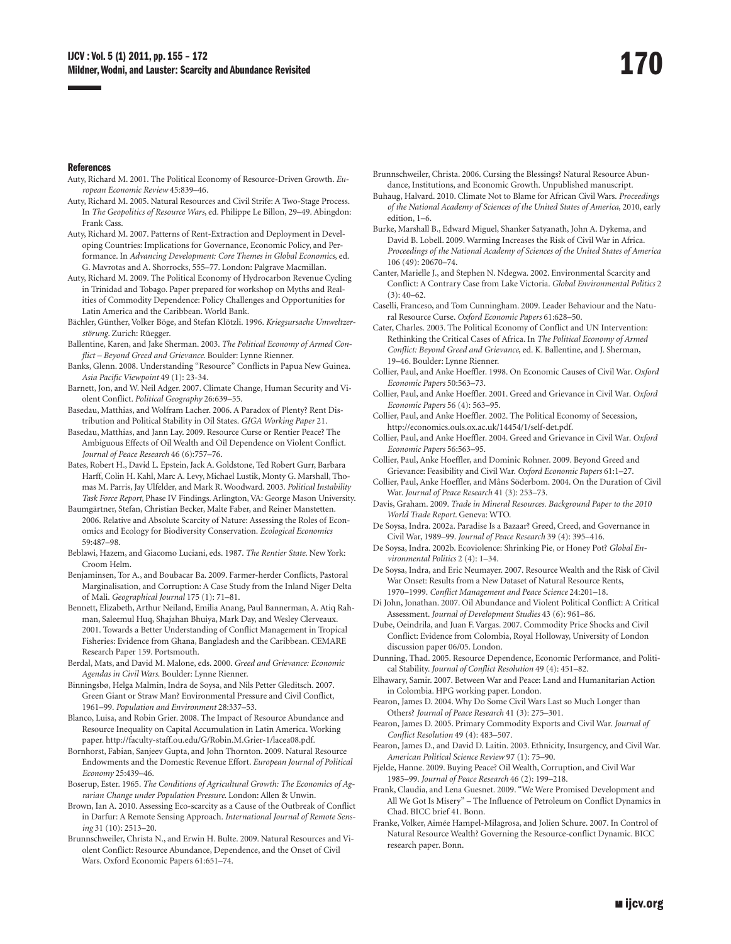#### References

- Auty, Richard M. 2001. The Political Economy of Resource-Driven Growth. *European Economic Review* 45:839–46.
- Auty, Richard M. 2005. Natural Resources and Civil Strife: A Two-Stage Process. In *The Geopolitics of Resource Wars*, ed. Philippe Le Billon, 29–49. Abingdon: Frank Cass.
- Auty, Richard M. 2007. Patterns of Rent-Extraction and Deployment in Developing Countries: Implications for Governance, Economic Policy, and Performance. In *Advancing Development: Core Themes in Global Economics*, ed. G. Mavrotas and A. Shorrocks, 555–77. London: Palgrave Macmillan.
- Auty, Richard M. 2009. The Political Economy of Hydrocarbon Revenue Cycling in Trinidad and Tobago. Paper prepared for workshop on Myths and Realities of Commodity Dependence: Policy Challenges and Opportunities for Latin America and the Caribbean. World Bank.
- Bächler, Günther, Volker Böge, and Stefan Klötzli. 1996. *Kriegsursache Umweltzerstörung*. Zurich: Rüegger.
- Ballentine, Karen, and Jake Sherman. 2003. *The Political Economy of Armed Conflict – Beyond Greed and Grievance*. Boulder: Lynne Rienner.
- Banks, Glenn. 2008. Understanding "Resource" Conflicts in Papua New Guinea. *Asia Pacific Viewpoint* 49 (1): 23-34.
- Barnett, Jon, and W. Neil Adger. 2007. Climate Change, Human Security and Violent Conflict. *Political Geography* 26:639–55.
- Basedau, Matthias, and Wolfram Lacher. 2006. A Paradox of Plenty? Rent Distribution and Political Stability in Oil States. *GIGA Working Paper* 21.
- Basedau, Matthias, and Jann Lay. 2009. Resource Curse or Rentier Peace? The Ambiguous Effects of Oil Wealth and Oil Dependence on Violent Conflict. *Journal of Peace Research* 46 (6):757–76.
- Bates, Robert H., David L. Epstein, Jack A. Goldstone, Ted Robert Gurr, Barbara Harff, Colin H. Kahl, Marc A. Levy, Michael Lustik, Monty G. Marshall, Thomas M. Parris, Jay Ulfelder, and Mark R. Woodward. 2003. *Political Instability Task Force Report*, Phase IV Findings. Arlington, VA: George Mason University.
- Baumgärtner, Stefan, Christian Becker, Malte Faber, and Reiner Manstetten. 2006. Relative and Absolute Scarcity of Nature: Assessing the Roles of Economics and Ecology for Biodiversity Conservation. *Ecological Economics*  59:487–98.
- Beblawi, Hazem, and Giacomo Luciani, eds. 1987. *The Rentier State*. New York: Croom Helm.
- Benjaminsen, Tor A., and Boubacar Ba. 2009. Farmer-herder Conflicts, Pastoral Marginalisation, and Corruption: A Case Study from the Inland Niger Delta of Mali. *Geographical Journal* 175 (1): 71–81.
- Bennett, Elizabeth, Arthur Neiland, Emilia Anang, Paul Bannerman, A. Atiq Rahman, Saleemul Huq, Shajahan Bhuiya, Mark Day, and Wesley Clerveaux. 2001. Towards a Better Understanding of Conflict Management in Tropical Fisheries: Evidence from Ghana, Bangladesh and the Caribbean. CEMARE Research Paper 159. Portsmouth.
- Berdal, Mats, and David M. Malone, eds. 2000. *Greed and Grievance: Economic Agendas in Civil Wars*. Boulder: Lynne Rienner.
- Binningsbø, Helga Malmin, Indra de Soysa, and Nils Petter Gleditsch. 2007. Green Giant or Straw Man? Environmental Pressure and Civil Conflict, 1961–99. *Population and Environment* 28:337–53.
- Blanco, Luisa, and Robin Grier. 2008. The Impact of Resource Abundance and Resource Inequality on Capital Accumulation in Latin America. Working paper. <http://faculty-staff.ou.edu/G/Robin.M.Grier-1/lacea08.pdf>.
- Bornhorst, Fabian, Sanjeev Gupta, and John Thornton. 2009. Natural Resource Endowments and the Domestic Revenue Effort. *European Journal of Political Economy* 25:439–46.
- Boserup, Ester. 1965. *The Conditions of Agricultural Growth: The Economics of Agrarian Change under Population Pressure*. London: Allen & Unwin.
- Brown, Ian A. 2010. Assessing Eco-scarcity as a Cause of the Outbreak of Conflict in Darfur: A Remote Sensing Approach. *International Journal of Remote Sensing* 31 (10): 2513–20.
- Brunnschweiler, Christa N., and Erwin H. Bulte. 2009. Natural Resources and Violent Conflict: Resource Abundance, Dependence, and the Onset of Civil Wars. Oxford Economic Papers 61:651–74.
- Brunnschweiler, Christa. 2006. Cursing the Blessings? Natural Resource Abundance, Institutions, and Economic Growth. Unpublished manuscript.
- Buhaug, Halvard. 2010. Climate Not to Blame for African Civil Wars. *Proceedings of the National Academy of Sciences of the United States of America*, 2010, early edition, 1–6.
- Burke, Marshall B., Edward Miguel, Shanker Satyanath, John A. Dykema, and David B. Lobell. 2009. Warming Increases the Risk of Civil War in Africa. *Proceedings of the National Academy of Sciences of the United States of America*  106 (49): 20670–74.
- Canter, Marielle J., and Stephen N. Ndegwa. 2002. Environmental Scarcity and Conflict: A Contrary Case from Lake Victoria. *Global Environmental Politics* 2  $(3): 40 - 62.$
- Caselli, Franceso, and Tom Cunningham. 2009. Leader Behaviour and the Natural Resource Curse. *Oxford Economic Papers* 61:628–50.
- Cater, Charles. 2003. The Political Economy of Conflict and UN Intervention: Rethinking the Critical Cases of Africa. In *The Political Economy of Armed Conflict: Beyond Greed and Grievance*, ed. K. Ballentine, and J. Sherman, 19–46. Boulder: Lynne Rienner.
- Collier, Paul, and Anke Hoeffler. 1998. On Economic Causes of Civil War. *Oxford Economic Papers* 50:563–73.
- Collier, Paul, and Anke Hoeffler. 2001. Greed and Grievance in Civil War. *Oxford Economic Papers* 56 (4): 563–95.
- Collier, Paul, and Anke Hoeffler. 2002. The Political Economy of Secession, [http://economics.ouls.ox.ac.uk/14454/1/self-det.pdf.](http://economics.ouls.ox.ac.uk/14454/1/self-det.pdf)
- Collier, Paul, and Anke Hoeffler. 2004. Greed and Grievance in Civil War. *Oxford Economic Papers* 56:563–95.
- Collier, Paul, Anke Hoeffler, and Dominic Rohner. 2009. Beyond Greed and Grievance: Feasibility and Civil War. *Oxford Economic Papers* 61:1–27.
- Collier, Paul, Anke Hoeffler, and Måns Söderbom. 2004. On the Duration of Civil War. *Journal of Peace Research* 41 (3): 253–73.
- Davis, Graham. 2009. *Trade in Mineral Resources. Background Paper to the 2010 World Trade Report*. Geneva: WTO.
- De Soysa, Indra. 2002a. Paradise Is a Bazaar? Greed, Creed, and Governance in Civil War, 1989–99. *Journal of Peace Research* 39 (4): 395–416.
- De Soysa, Indra. 2002b. Ecoviolence: Shrinking Pie, or Honey Pot? *Global Environmental Politics* 2 (4): 1–34.
- De Soysa, Indra, and Eric Neumayer. 2007. Resource Wealth and the Risk of Civil War Onset: Results from a New Dataset of Natural Resource Rents, 1970–1999. *Conflict Management and Peace Science* 24:201–18.
- Di John, Jonathan. 2007. Oil Abundance and Violent Political Conflict: A Critical Assessment. *Journal of Development Studies* 43 (6): 961–86.
- Dube, Oeindrila, and Juan F. Vargas. 2007. Commodity Price Shocks and Civil Conflict: Evidence from Colombia, Royal Holloway, University of London discussion paper 06/05. London.
- Dunning, Thad. 2005. Resource Dependence, Economic Performance, and Political Stability. *Journal of Conflict Resolution* 49 (4): 451–82.
- Elhawary, Samir. 2007. Between War and Peace: Land and Humanitarian Action in Colombia. HPG working paper. London.
- Fearon, James D. 2004. Why Do Some Civil Wars Last so Much Longer than Others? *Journal of Peace Research* 41 (3): 275–301.
- Fearon, James D. 2005. Primary Commodity Exports and Civil War. *Journal of Conflict Resolution* 49 (4): 483–507.
- Fearon, James D., and David D. Laitin. 2003. Ethnicity, Insurgency, and Civil War. *American Political Science Review* 97 (1): 75–90.
- Fjelde, Hanne. 2009. Buying Peace? Oil Wealth, Corruption, and Civil War 1985–99. *Journal of Peace Research* 46 (2): 199–218.
- Frank, Claudia, and Lena Guesnet. 2009. "We Were Promised Development and All We Got Is Misery" – The Influence of Petroleum on Conflict Dynamics in Chad. BICC brief 41. Bonn.
- Franke, Volker, Aimée Hampel-Milagrosa, and Jolien Schure. 2007. In Control of Natural Resource Wealth? Governing the Resource-conflict Dynamic. BICC research paper. Bonn.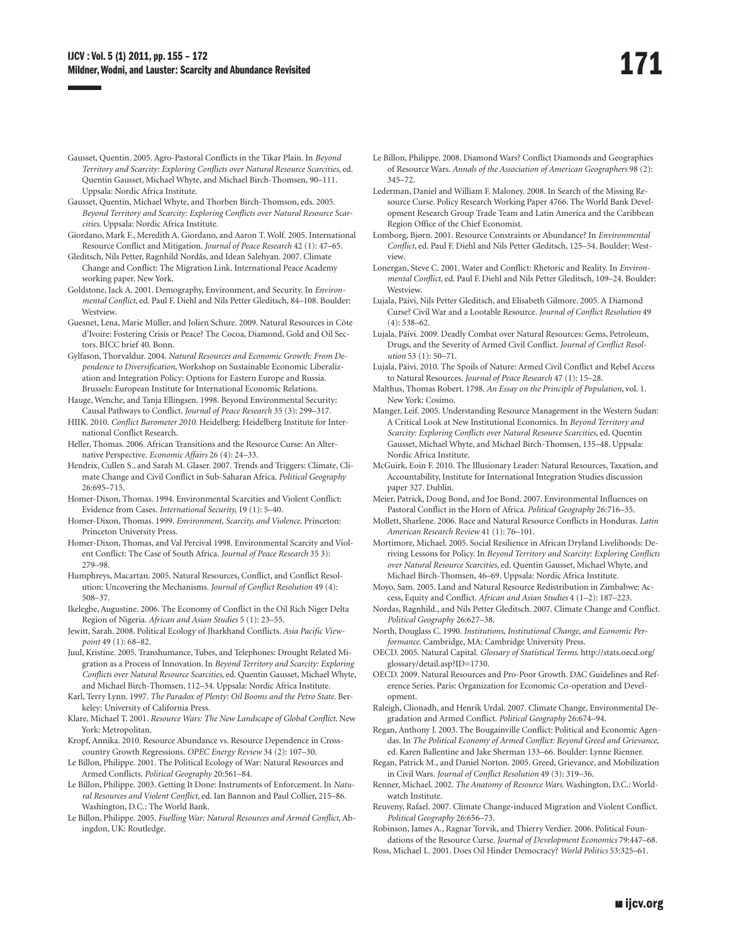- Gausset, Quentin. 2005. Agro-Pastoral Conflicts in the Tikar Plain. In *Beyond Territory and Scarcity: Exploring Conflicts over Natural Resource Scarcities*, ed. Quentin Gausset, Michael Whyte, and Michael Birch-Thomsen, 90–111. Uppsala: Nordic Africa Institute.
- Gausset, Quentin, Michael Whyte, and Thorben Birch-Thomson, eds. 2005. *Beyond Territory and Scarcity: Exploring Conflicts over Natural Resource Scarcities*. Uppsala: Nordic Africa Institute.
- Giordano, Mark F., Meredith A. Giordano, and Aaron T. Wolf. 2005. International Resource Conflict and Mitigation. *Journal of Peace Research* 42 (1): 47–65.
- Gleditsch, Nils Petter, Ragnhild Nordås, and Idean Salehyan. 2007. Climate Change and Conflict: The Migration Link. International Peace Academy working paper. New York.
- Goldstone, Jack A. 2001. Demography, Environment, and Security. In *Environmental Conflict*, ed. Paul F. Diehl and Nils Petter Gleditsch, 84–108. Boulder: **Westview.**
- Guesnet, Lena, Marie Müller, and Jolien Schure. 2009. Natural Resources in Côte d'Ivoire: Fostering Crisis or Peace? The Cocoa, Diamond, Gold and Oil Sectors. BICC brief 40. Bonn.
- Gylfason, Thorvaldur. 2004. *Natural Resources and Economic Growth: From Dependence to Diversification*, Workshop on Sustainable Economic Liberalization and Integration Policy: Options for Eastern Europe and Russia. Brussels: European Institute for International Economic Relations.
- Hauge, Wenche, and Tanja Ellingsen. 1998. Beyond Environmental Security: Causal Pathways to Conflict. *Journal of Peace Research* 35 (3): 299–317.
- HIIK. 2010. *Conflict Barometer 2010*. Heidelberg: Heidelberg Institute for International Conflict Research.
- Heller, Thomas. 2006. African Transitions and the Resource Curse: An Alternative Perspective. *Economic Affairs* 26 (4): 24–33.
- Hendrix, Cullen S., and Sarah M. Glaser. 2007. Trends and Triggers: Climate, Climate Change and Civil Conflict in Sub-Saharan Africa. *Political Geography*  26:695–715.
- Homer-Dixon, Thomas. 1994. Environmental Scarcities and Violent Conflict: Evidence from Cases. *International Security*, 19 (1): 5–40.
- Homer-Dixon, Thomas. 1999. *Environment, Scarcity, and Violence*. Princeton: Princeton University Press.
- Homer-Dixon, Thomas, and Val Percival 1998. Environmental Scarcity and Violent Conflict: The Case of South Africa. *Journal of Peace Research* 35 3): 279–98.
- Humphreys, Macartan. 2005. Natural Resources, Conflict, and Conflict Resolution: Uncovering the Mechanisms. *Journal of Conflict Resolution* 49 (4): 508–37.
- Ikelegbe, Augustine. 2006. The Economy of Conflict in the Oil Rich Niger Delta Region of Nigeria. *African and Asian Studies* 5 (1): 23–55.
- Jewitt, Sarah. 2008. Political Ecology of Jharkhand Conflicts. *Asia Pacific Viewpoint* 49 (1): 68–82.
- Juul, Kristine. 2005. Transhumance, Tubes, and Telephones: Drought Related Migration as a Process of Innovation. In *Beyond Territory and Scarcity: Exploring Conflicts over Natural Resource Scarcities*, ed. Quentin Gausset, Michael Whyte, and Michael Birch-Thomsen, 112–34. Uppsala: Nordic Africa Institute.
- Karl, Terry Lynn. 1997. *The Paradox of Plenty: Oil Booms and the Petro State*. Berkeley: University of California Press.
- Klare, Michael T. 2001. *Resource Wars: The New Landscape of Global Conflict*. New York: Metropolitan.
- Kropf, Annika. 2010. Resource Abundance vs. Resource Dependence in Crosscountry Growth Regressions. *OPEC Energy Review* 34 (2): 107–30.
- Le Billon, Philippe. 2001. The Political Ecology of War: Natural Resources and Armed Conflicts. *Political Geography* 20:561–84.
- Le Billon, Philippe. 2003. Getting It Done: Instruments of Enforcement. In *Natural Resources and Violent Conflict*, ed. Ian Bannon and Paul Collier, 215–86. Washington, D.C.: The World Bank.
- Le Billon, Philippe. 2005. *Fuelling War: Natural Resources and Armed Conflict*, Abingdon, UK: Routledge.
- Le Billon, Philippe. 2008. Diamond Wars? Conflict Diamonds and Geographies of Resource Wars. *Annals of the Association of American Geographers* 98 (2): 345–72.
- Lederman, Daniel and William F. Maloney. 2008. In Search of the Missing Resource Curse. Policy Research Working Paper 4766. The World Bank Development Research Group Trade Team and Latin America and the Caribbean Region Office of the Chief Economist.
- Lomborg, Bjørn. 2001. Resource Constraints or Abundance? In *Environmental Conflict*, ed. Paul F. Diehl and Nils Petter Gleditsch, 125–54. Boulder: Westview.
- Lonergan, Steve C. 2001. Water and Conflict: Rhetoric and Reality. In *Environmental Conflict*, ed. Paul F. Diehl and Nils Petter Gleditsch, 109–24. Boulder: Westview.
- Lujala, Päivi, Nils Petter Gleditsch, and Elisabeth Gilmore. 2005. A Diamond Curse? Civil War and a Lootable Resource. *Journal of Conflict Resolution* 49  $(4): 538 - 62.$
- Lujala, Päivi. 2009. Deadly Combat over Natural Resources: Gems, Petroleum, Drugs, and the Severity of Armed Civil Conflict. *Journal of Conflict Resolution* 53 (1): 50–71.
- Lujala, Päivi. 2010. The Spoils of Nature: Armed Civil Conflict and Rebel Access to Natural Resources. *Journal of Peace Research* 47 (1): 15–28.
- Malthus, Thomas Robert. 1798. *An Essay on the Principle of Population*, vol. 1. New York: Cosimo.
- Manger, Leif. 2005. Understanding Resource Management in the Western Sudan: A Critical Look at New Institutional Economics. In *Beyond Territory and Scarcity: Exploring Conflicts over Natural Resource Scarcities*, ed. Quentin Gausset, Michael Whyte, and Michael Birch-Thomsen, 135–48. Uppsala: Nordic Africa Institute.
- McGuirk, Eoin F. 2010. The Illusionary Leader: Natural Resources, Taxation, and Accountability, Institute for International Integration Studies discussion paper 327. Dublin.
- Meier, Patrick, Doug Bond, and Joe Bond. 2007. Environmental Influences on Pastoral Conflict in the Horn of Africa. *Political Geography* 26:716–35.
- Mollett, Sharlene. 2006. Race and Natural Resource Conflicts in Honduras. *Latin American Research Review* 41 (1): 76–101.
- Mortimore, Michael. 2005. Social Resilience in African Dryland Livelihoods: Deriving Lessons for Policy. In *Beyond Territory and Scarcity: Exploring Conflicts over Natural Resource Scarcities*, ed. Quentin Gausset, Michael Whyte, and Michael Birch-Thomsen, 46–69. Uppsala: Nordic Africa Institute.

Moyo, Sam. 2005. Land and Natural Resource Redistribution in Zimbabwe: Access, Equity and Conflict. *African and Asian Studies* 4 (1–2): 187–223.

- Nordas, Ragnhild., and Nils Petter Gleditsch. 2007. Climate Change and Conflict. *Political Geography* 26:627–38.
- North, Douglass C. 1990. *Institutions, Institutional Change, and Economic Performance*. Cambridge, MA: Cambridge University Press.
- OECD. 2005. Natural Capital. *Glossary of Statistical Terms*. [http://stats.oecd.org/](http://stats.oecd.org/glossary/detail.asp?ID=1730) [glossary/detail.asp?ID=1730.](http://stats.oecd.org/glossary/detail.asp?ID=1730)
- OECD. 2009. Natural Resources and Pro-Poor Growth. DAC Guidelines and Reference Series. Paris: Organization for Economic Co-operation and Development.
- Raleigh, Clionadh, and Henrik Urdal. 2007. Climate Change, Environmental Degradation and Armed Conflict. *Political Geography* 26:674–94.
- Regan, Anthony J. 2003. The Bougainville Conflict: Political and Economic Agendas. In *The Political Economy of Armed Conflict: Beyond Greed and Grievance*, ed. Karen Ballentine and Jake Sherman 133–66. Boulder: Lynne Rienner.
- Regan, Patrick M., and Daniel Norton. 2005. Greed, Grievance, and Mobilization in Civil Wars. *Journal of Conflict Resolution* 49 (3): 319–36.
- Renner, Michael. 2002. *The Anatomy of Resource Wars*. Washington, D.C.: Worldwatch Institute.
- Reuveny, Rafael. 2007. Climate Change-induced Migration and Violent Conflict. *Political Geography* 26:656–73.

Robinson, James A., Ragnar Torvik, and Thierry Verdier. 2006. Political Foundations of the Resource Curse. *Journal of Development Economics* 79:447–68. Ross, Michael L. 2001. Does Oil Hinder Democracy? *World Politics* 53:325–61.